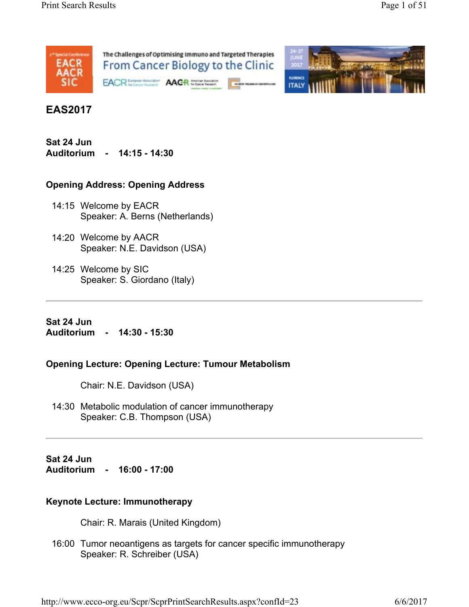



# **EAS2017**

**Sat 24 Jun Auditorium - 14:15 - 14:30** 

### **Opening Address: Opening Address**

- 14:15 Welcome by EACR Speaker: A. Berns (Netherlands)
- 14:20 Welcome by AACR Speaker: N.E. Davidson (USA)
- 14:25 Welcome by SIC Speaker: S. Giordano (Italy)

**Sat 24 Jun Auditorium - 14:30 - 15:30** 

### **Opening Lecture: Opening Lecture: Tumour Metabolism**

Chair: N.E. Davidson (USA)

14:30 Metabolic modulation of cancer immunotherapy Speaker: C.B. Thompson (USA)

**Sat 24 Jun Auditorium - 16:00 - 17:00** 

### **Keynote Lecture: Immunotherapy**

Chair: R. Marais (United Kingdom)

16:00 Tumor neoantigens as targets for cancer specific immunotherapy Speaker: R. Schreiber (USA)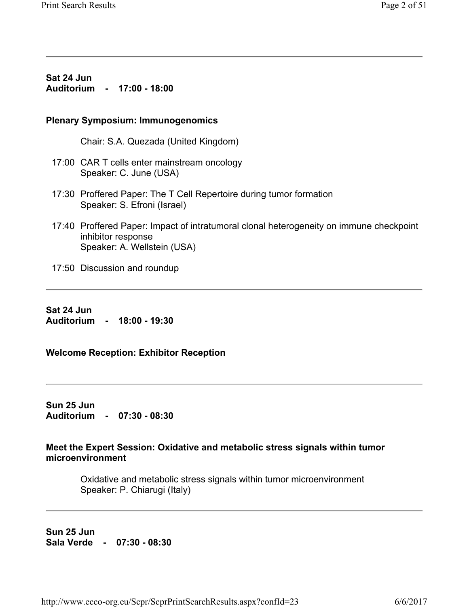**Sat 24 Jun Auditorium - 17:00 - 18:00** 

### **Plenary Symposium: Immunogenomics**

Chair: S.A. Quezada (United Kingdom)

- 17:00 CAR T cells enter mainstream oncology Speaker: C. June (USA)
- 17:30 Proffered Paper: The T Cell Repertoire during tumor formation Speaker: S. Efroni (Israel)
- 17:40 Proffered Paper: Impact of intratumoral clonal heterogeneity on immune checkpoint inhibitor response Speaker: A. Wellstein (USA)
- 17:50 Discussion and roundup

**Sat 24 Jun Auditorium - 18:00 - 19:30** 

**Welcome Reception: Exhibitor Reception** 

**Sun 25 Jun Auditorium - 07:30 - 08:30** 

**Meet the Expert Session: Oxidative and metabolic stress signals within tumor microenvironment** 

Oxidative and metabolic stress signals within tumor microenvironment Speaker: P. Chiarugi (Italy)

**Sun 25 Jun Sala Verde - 07:30 - 08:30**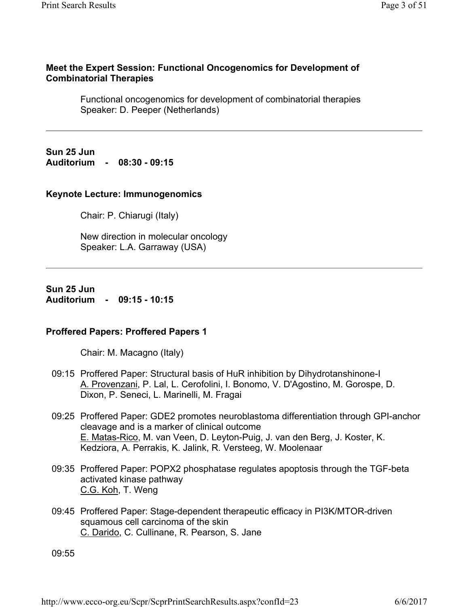### **Meet the Expert Session: Functional Oncogenomics for Development of Combinatorial Therapies**

Functional oncogenomics for development of combinatorial therapies Speaker: D. Peeper (Netherlands)

**Sun 25 Jun Auditorium - 08:30 - 09:15** 

### **Keynote Lecture: Immunogenomics**

Chair: P. Chiarugi (Italy)

New direction in molecular oncology Speaker: L.A. Garraway (USA)

**Sun 25 Jun Auditorium - 09:15 - 10:15** 

### **Proffered Papers: Proffered Papers 1**

Chair: M. Macagno (Italy)

- 09:15 Proffered Paper: Structural basis of HuR inhibition by Dihydrotanshinone-I A. Provenzani, P. Lal, L. Cerofolini, I. Bonomo, V. D'Agostino, M. Gorospe, D. Dixon, P. Seneci, L. Marinelli, M. Fragai
- 09:25 Proffered Paper: GDE2 promotes neuroblastoma differentiation through GPI-anchor cleavage and is a marker of clinical outcome E. Matas-Rico, M. van Veen, D. Leyton-Puig, J. van den Berg, J. Koster, K. Kedziora, A. Perrakis, K. Jalink, R. Versteeg, W. Moolenaar
- 09:35 Proffered Paper: POPX2 phosphatase regulates apoptosis through the TGF-beta activated kinase pathway C.G. Koh, T. Weng
- 09:45 Proffered Paper: Stage-dependent therapeutic efficacy in PI3K/MTOR-driven squamous cell carcinoma of the skin C. Darido, C. Cullinane, R. Pearson, S. Jane

09:55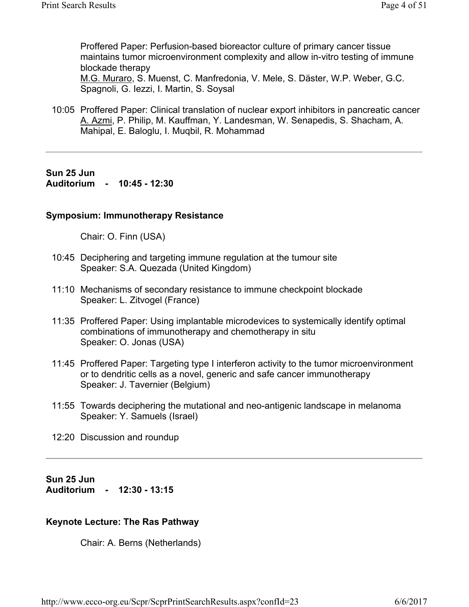Proffered Paper: Perfusion-based bioreactor culture of primary cancer tissue maintains tumor microenvironment complexity and allow in-vitro testing of immune blockade therapy M.G. Muraro, S. Muenst, C. Manfredonia, V. Mele, S. Däster, W.P. Weber, G.C. Spagnoli, G. Iezzi, I. Martin, S. Soysal

10:05 Proffered Paper: Clinical translation of nuclear export inhibitors in pancreatic cancer A. Azmi, P. Philip, M. Kauffman, Y. Landesman, W. Senapedis, S. Shacham, A. Mahipal, E. Baloglu, I. Muqbil, R. Mohammad

### **Sun 25 Jun Auditorium - 10:45 - 12:30**

### **Symposium: Immunotherapy Resistance**

Chair: O. Finn (USA)

- 10:45 Deciphering and targeting immune regulation at the tumour site Speaker: S.A. Quezada (United Kingdom)
- 11:10 Mechanisms of secondary resistance to immune checkpoint blockade Speaker: L. Zitvogel (France)
- 11:35 Proffered Paper: Using implantable microdevices to systemically identify optimal combinations of immunotherapy and chemotherapy in situ Speaker: O. Jonas (USA)
- 11:45 Proffered Paper: Targeting type I interferon activity to the tumor microenvironment or to dendritic cells as a novel, generic and safe cancer immunotherapy Speaker: J. Tavernier (Belgium)
- 11:55 Towards deciphering the mutational and neo-antigenic landscape in melanoma Speaker: Y. Samuels (Israel)
- 12:20 Discussion and roundup

**Sun 25 Jun Auditorium - 12:30 - 13:15** 

### **Keynote Lecture: The Ras Pathway**

Chair: A. Berns (Netherlands)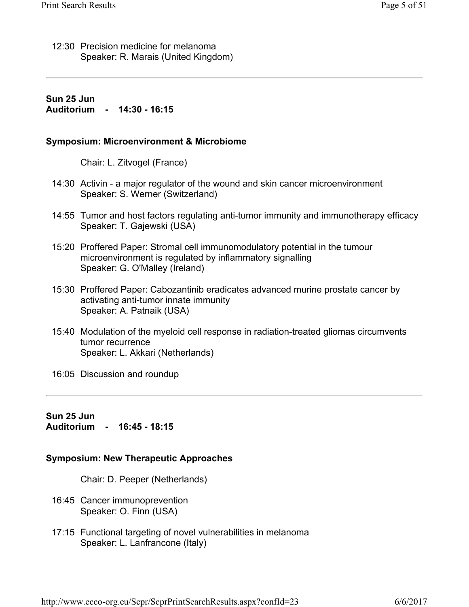12:30 Precision medicine for melanoma Speaker: R. Marais (United Kingdom)

### **Sun 25 Jun Auditorium - 14:30 - 16:15**

### **Symposium: Microenvironment & Microbiome**

Chair: L. Zitvogel (France)

- 14:30 Activin a major regulator of the wound and skin cancer microenvironment Speaker: S. Werner (Switzerland)
- 14:55 Tumor and host factors regulating anti-tumor immunity and immunotherapy efficacy Speaker: T. Gajewski (USA)
- 15:20 Proffered Paper: Stromal cell immunomodulatory potential in the tumour microenvironment is regulated by inflammatory signalling Speaker: G. O'Malley (Ireland)
- 15:30 Proffered Paper: Cabozantinib eradicates advanced murine prostate cancer by activating anti-tumor innate immunity Speaker: A. Patnaik (USA)
- 15:40 Modulation of the myeloid cell response in radiation-treated gliomas circumvents tumor recurrence Speaker: L. Akkari (Netherlands)

16:05 Discussion and roundup

**Sun 25 Jun Auditorium - 16:45 - 18:15** 

### **Symposium: New Therapeutic Approaches**

Chair: D. Peeper (Netherlands)

- 16:45 Cancer immunoprevention Speaker: O. Finn (USA)
- 17:15 Functional targeting of novel vulnerabilities in melanoma Speaker: L. Lanfrancone (Italy)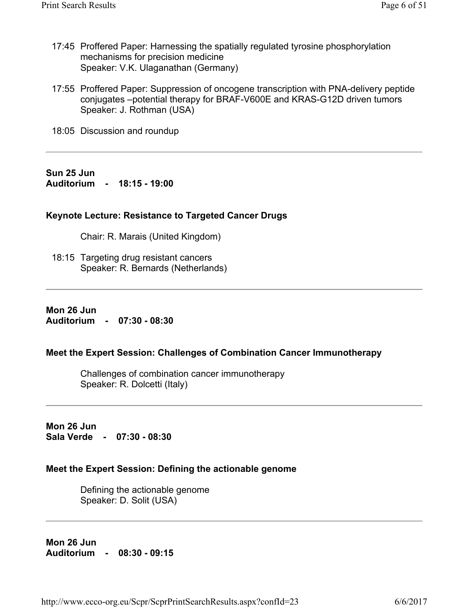- 17:45 Proffered Paper: Harnessing the spatially regulated tyrosine phosphorylation mechanisms for precision medicine Speaker: V.K. Ulaganathan (Germany)
- 17:55 Proffered Paper: Suppression of oncogene transcription with PNA-delivery peptide conjugates –potential therapy for BRAF-V600E and KRAS-G12D driven tumors Speaker: J. Rothman (USA)
- 18:05 Discussion and roundup

**Sun 25 Jun Auditorium - 18:15 - 19:00** 

### **Keynote Lecture: Resistance to Targeted Cancer Drugs**

Chair: R. Marais (United Kingdom)

18:15 Targeting drug resistant cancers Speaker: R. Bernards (Netherlands)

**Mon 26 Jun Auditorium - 07:30 - 08:30** 

#### **Meet the Expert Session: Challenges of Combination Cancer Immunotherapy**

Challenges of combination cancer immunotherapy Speaker: R. Dolcetti (Italy)

**Mon 26 Jun Sala Verde - 07:30 - 08:30** 

### **Meet the Expert Session: Defining the actionable genome**

Defining the actionable genome Speaker: D. Solit (USA)

**Mon 26 Jun Auditorium - 08:30 - 09:15**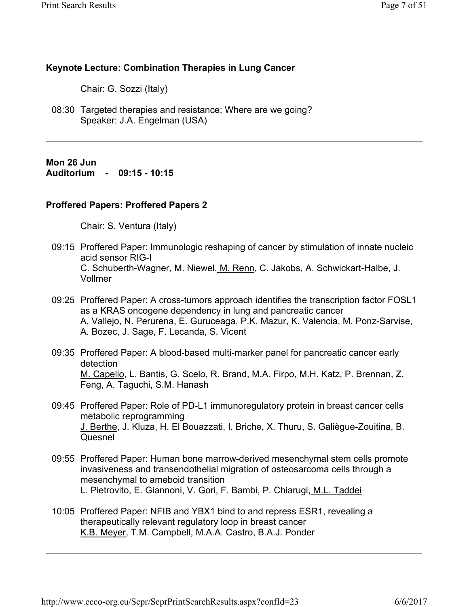### **Keynote Lecture: Combination Therapies in Lung Cancer**

Chair: G. Sozzi (Italy)

08:30 Targeted therapies and resistance: Where are we going? Speaker: J.A. Engelman (USA)

**Mon 26 Jun Auditorium - 09:15 - 10:15** 

### **Proffered Papers: Proffered Papers 2**

Chair: S. Ventura (Italy)

- 09:15 Proffered Paper: Immunologic reshaping of cancer by stimulation of innate nucleic acid sensor RIG-I C. Schuberth-Wagner, M. Niewel, M. Renn, C. Jakobs, A. Schwickart-Halbe, J. Vollmer
- 09:25 Proffered Paper: A cross-tumors approach identifies the transcription factor FOSL1 as a KRAS oncogene dependency in lung and pancreatic cancer A. Vallejo, N. Perurena, E. Guruceaga, P.K. Mazur, K. Valencia, M. Ponz-Sarvise, A. Bozec, J. Sage, F. Lecanda, S. Vicent
- 09:35 Proffered Paper: A blood-based multi-marker panel for pancreatic cancer early detection M. Capello, L. Bantis, G. Scelo, R. Brand, M.A. Firpo, M.H. Katz, P. Brennan, Z. Feng, A. Taguchi, S.M. Hanash
- 09:45 Proffered Paper: Role of PD-L1 immunoregulatory protein in breast cancer cells metabolic reprogramming J. Berthe, J. Kluza, H. El Bouazzati, I. Briche, X. Thuru, S. Galiègue-Zouitina, B. Quesnel
- 09:55 Proffered Paper: Human bone marrow-derived mesenchymal stem cells promote invasiveness and transendothelial migration of osteosarcoma cells through a mesenchymal to ameboid transition L. Pietrovito, E. Giannoni, V. Gori, F. Bambi, P. Chiarugi, M.L. Taddei
- 10:05 Proffered Paper: NFIB and YBX1 bind to and repress ESR1, revealing a therapeutically relevant regulatory loop in breast cancer K.B. Meyer, T.M. Campbell, M.A.A. Castro, B.A.J. Ponder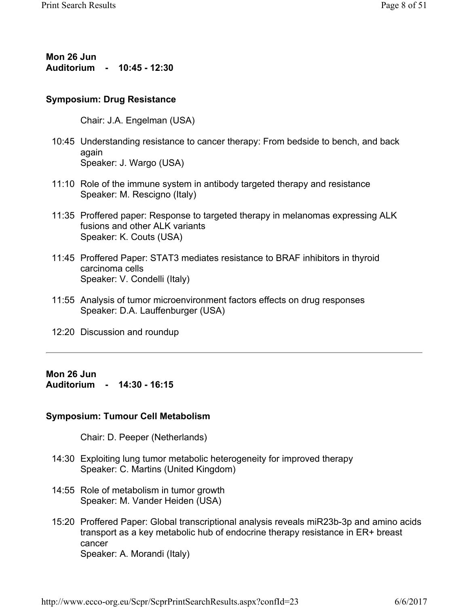**Mon 26 Jun Auditorium - 10:45 - 12:30** 

#### **Symposium: Drug Resistance**

Chair: J.A. Engelman (USA)

- 10:45 Understanding resistance to cancer therapy: From bedside to bench, and back again Speaker: J. Wargo (USA)
- 11:10 Role of the immune system in antibody targeted therapy and resistance Speaker: M. Rescigno (Italy)
- 11:35 Proffered paper: Response to targeted therapy in melanomas expressing ALK fusions and other ALK variants Speaker: K. Couts (USA)
- 11:45 Proffered Paper: STAT3 mediates resistance to BRAF inhibitors in thyroid carcinoma cells Speaker: V. Condelli (Italy)
- 11:55 Analysis of tumor microenvironment factors effects on drug responses Speaker: D.A. Lauffenburger (USA)
- 12:20 Discussion and roundup

### **Mon 26 Jun Auditorium - 14:30 - 16:15**

### **Symposium: Tumour Cell Metabolism**

Chair: D. Peeper (Netherlands)

- 14:30 Exploiting lung tumor metabolic heterogeneity for improved therapy Speaker: C. Martins (United Kingdom)
- 14:55 Role of metabolism in tumor growth Speaker: M. Vander Heiden (USA)
- 15:20 Proffered Paper: Global transcriptional analysis reveals miR23b-3p and amino acids transport as a key metabolic hub of endocrine therapy resistance in ER+ breast cancer Speaker: A. Morandi (Italy)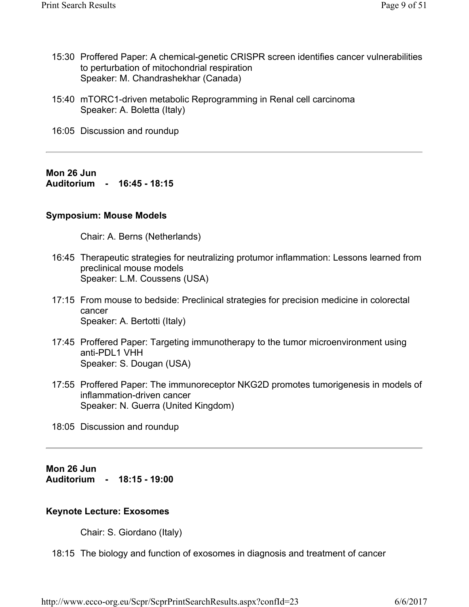- 15:30 Proffered Paper: A chemical-genetic CRISPR screen identifies cancer vulnerabilities to perturbation of mitochondrial respiration Speaker: M. Chandrashekhar (Canada)
- 15:40 mTORC1-driven metabolic Reprogramming in Renal cell carcinoma Speaker: A. Boletta (Italy)
- 16:05 Discussion and roundup

**Mon 26 Jun Auditorium - 16:45 - 18:15** 

### **Symposium: Mouse Models**

Chair: A. Berns (Netherlands)

- 16:45 Therapeutic strategies for neutralizing protumor inflammation: Lessons learned from preclinical mouse models Speaker: L.M. Coussens (USA)
- 17:15 From mouse to bedside: Preclinical strategies for precision medicine in colorectal cancer Speaker: A. Bertotti (Italy)
- 17:45 Proffered Paper: Targeting immunotherapy to the tumor microenvironment using anti-PDL1 VHH Speaker: S. Dougan (USA)
- 17:55 Proffered Paper: The immunoreceptor NKG2D promotes tumorigenesis in models of inflammation-driven cancer Speaker: N. Guerra (United Kingdom)
- 18:05 Discussion and roundup

**Mon 26 Jun Auditorium - 18:15 - 19:00** 

### **Keynote Lecture: Exosomes**

Chair: S. Giordano (Italy)

18:15 The biology and function of exosomes in diagnosis and treatment of cancer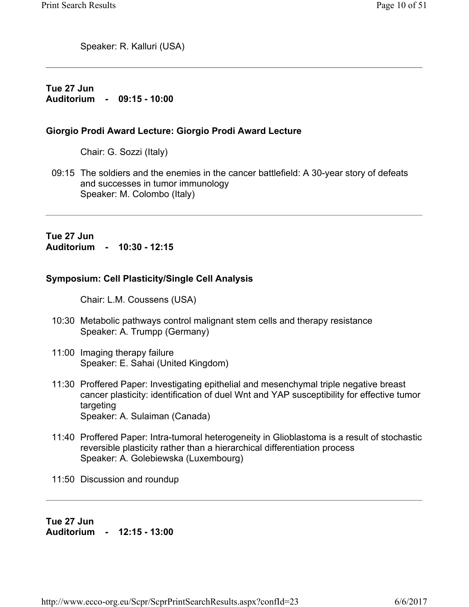Speaker: R. Kalluri (USA)

### **Tue 27 Jun Auditorium - 09:15 - 10:00**

### **Giorgio Prodi Award Lecture: Giorgio Prodi Award Lecture**

Chair: G. Sozzi (Italy)

09:15 The soldiers and the enemies in the cancer battlefield: A 30-year story of defeats and successes in tumor immunology Speaker: M. Colombo (Italy)

**Tue 27 Jun Auditorium - 10:30 - 12:15** 

### **Symposium: Cell Plasticity/Single Cell Analysis**

Chair: L.M. Coussens (USA)

- 10:30 Metabolic pathways control malignant stem cells and therapy resistance Speaker: A. Trumpp (Germany)
- 11:00 Imaging therapy failure Speaker: E. Sahai (United Kingdom)
- 11:30 Proffered Paper: Investigating epithelial and mesenchymal triple negative breast cancer plasticity: identification of duel Wnt and YAP susceptibility for effective tumor targeting Speaker: A. Sulaiman (Canada)
- 11:40 Proffered Paper: Intra-tumoral heterogeneity in Glioblastoma is a result of stochastic reversible plasticity rather than a hierarchical differentiation process Speaker: A. Golebiewska (Luxembourg)
- 11:50 Discussion and roundup

**Tue 27 Jun Auditorium - 12:15 - 13:00**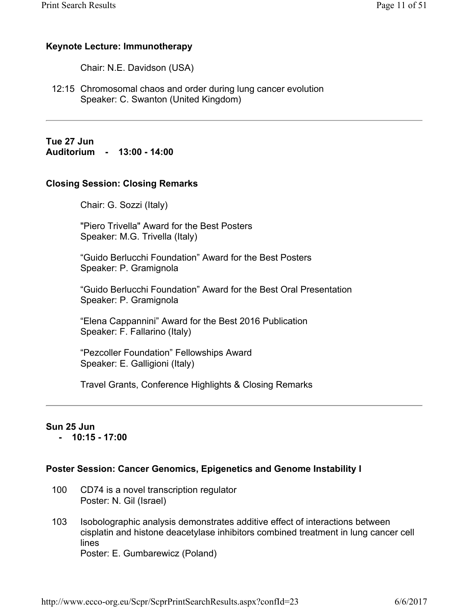### **Keynote Lecture: Immunotherapy**

Chair: N.E. Davidson (USA)

12:15 Chromosomal chaos and order during lung cancer evolution Speaker: C. Swanton (United Kingdom)

**Tue 27 Jun Auditorium - 13:00 - 14:00** 

### **Closing Session: Closing Remarks**

Chair: G. Sozzi (Italy)

"Piero Trivella" Award for the Best Posters Speaker: M.G. Trivella (Italy)

"Guido Berlucchi Foundation" Award for the Best Posters Speaker: P. Gramignola

"Guido Berlucchi Foundation" Award for the Best Oral Presentation Speaker: P. Gramignola

"Elena Cappannini" Award for the Best 2016 Publication Speaker: F. Fallarino (Italy)

"Pezcoller Foundation" Fellowships Award Speaker: E. Galligioni (Italy)

Travel Grants, Conference Highlights & Closing Remarks

### **Sun 25 Jun**

 **- 10:15 - 17:00** 

### **Poster Session: Cancer Genomics, Epigenetics and Genome Instability I**

- CD74 is a novel transcription regulator Poster: N. Gil (Israel) 100
- Isobolographic analysis demonstrates additive effect of interactions between cisplatin and histone deacetylase inhibitors combined treatment in lung cancer cell lines Poster: E. Gumbarewicz (Poland) 103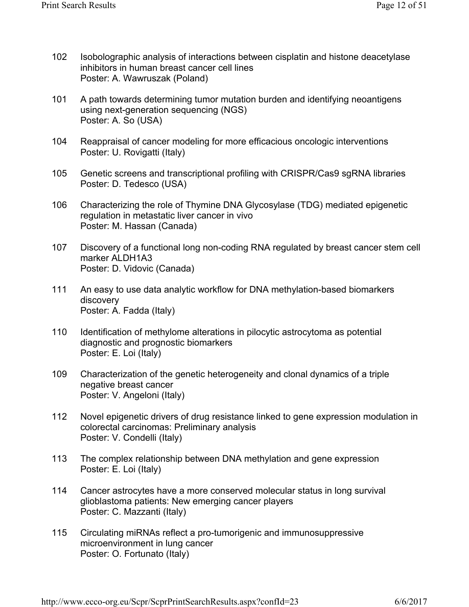- Isobolographic analysis of interactions between cisplatin and histone deacetylase inhibitors in human breast cancer cell lines Poster: A. Wawruszak (Poland) 102
- A path towards determining tumor mutation burden and identifying neoantigens using next-generation sequencing (NGS) Poster: A. So (USA) 101
- Reappraisal of cancer modeling for more efficacious oncologic interventions Poster: U. Rovigatti (Italy) 104
- Genetic screens and transcriptional profiling with CRISPR/Cas9 sgRNA libraries Poster: D. Tedesco (USA) 105
- Characterizing the role of Thymine DNA Glycosylase (TDG) mediated epigenetic regulation in metastatic liver cancer in vivo Poster: M. Hassan (Canada) 106
- Discovery of a functional long non-coding RNA regulated by breast cancer stem cell marker ALDH1A3 Poster: D. Vidovic (Canada) 107
- An easy to use data analytic workflow for DNA methylation-based biomarkers discovery Poster: A. Fadda (Italy) 111
- Identification of methylome alterations in pilocytic astrocytoma as potential diagnostic and prognostic biomarkers Poster: E. Loi (Italy) 110
- Characterization of the genetic heterogeneity and clonal dynamics of a triple negative breast cancer Poster: V. Angeloni (Italy) 109
- Novel epigenetic drivers of drug resistance linked to gene expression modulation in colorectal carcinomas: Preliminary analysis Poster: V. Condelli (Italy) 112
- The complex relationship between DNA methylation and gene expression Poster: E. Loi (Italy) 113
- Cancer astrocytes have a more conserved molecular status in long survival glioblastoma patients: New emerging cancer players Poster: C. Mazzanti (Italy) 114
- Circulating miRNAs reflect a pro-tumorigenic and immunosuppressive microenvironment in lung cancer Poster: O. Fortunato (Italy) 115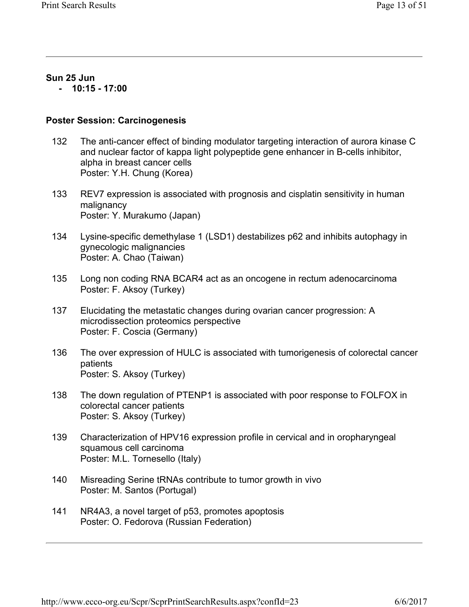### **Sun 25 Jun**

 **- 10:15 - 17:00** 

### **Poster Session: Carcinogenesis**

- The anti-cancer effect of binding modulator targeting interaction of aurora kinase C and nuclear factor of kappa light polypeptide gene enhancer in B-cells inhibitor, alpha in breast cancer cells Poster: Y.H. Chung (Korea) 132
- REV7 expression is associated with prognosis and cisplatin sensitivity in human malignancy Poster: Y. Murakumo (Japan) 133
- Lysine-specific demethylase 1 (LSD1) destabilizes p62 and inhibits autophagy in gynecologic malignancies Poster: A. Chao (Taiwan) 134
- Long non coding RNA BCAR4 act as an oncogene in rectum adenocarcinoma Poster: F. Aksoy (Turkey) 135
- Elucidating the metastatic changes during ovarian cancer progression: A microdissection proteomics perspective Poster: F. Coscia (Germany) 137
- The over expression of HULC is associated with tumorigenesis of colorectal cancer patients Poster: S. Aksoy (Turkey) 136
- The down regulation of PTENP1 is associated with poor response to FOLFOX in colorectal cancer patients Poster: S. Aksoy (Turkey) 138
- Characterization of HPV16 expression profile in cervical and in oropharyngeal squamous cell carcinoma Poster: M.L. Tornesello (Italy) 139
- Misreading Serine tRNAs contribute to tumor growth in vivo Poster: M. Santos (Portugal) 140
- NR4A3, a novel target of p53, promotes apoptosis Poster: O. Fedorova (Russian Federation) 141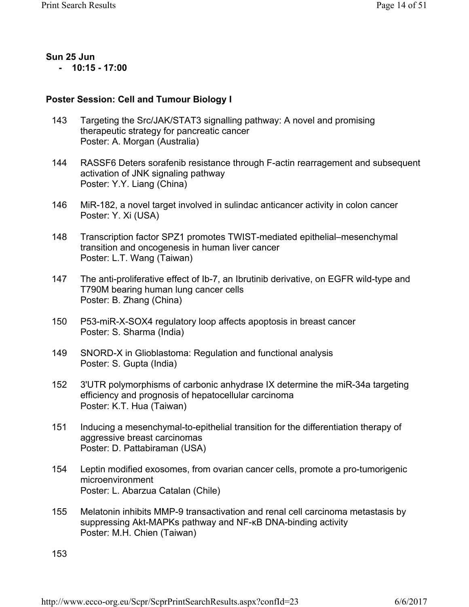#### **Sun 25 Jun - 10:15 - 17:00**

**Poster Session: Cell and Tumour Biology I** 

- Targeting the Src/JAK/STAT3 signalling pathway: A novel and promising therapeutic strategy for pancreatic cancer Poster: A. Morgan (Australia) 143
- RASSF6 Deters sorafenib resistance through F-actin rearragement and subsequent activation of JNK signaling pathway Poster: Y.Y. Liang (China) 144
- MiR-182, a novel target involved in sulindac anticancer activity in colon cancer Poster: Y. Xi (USA) 146
- Transcription factor SPZ1 promotes TWIST-mediated epithelial–mesenchymal transition and oncogenesis in human liver cancer Poster: L.T. Wang (Taiwan) 148
- The anti-proliferative effect of Ib-7, an Ibrutinib derivative, on EGFR wild-type and T790M bearing human lung cancer cells Poster: B. Zhang (China) 147
- P53-miR-X-SOX4 regulatory loop affects apoptosis in breast cancer Poster: S. Sharma (India) 150
- SNORD-X in Glioblastoma: Regulation and functional analysis Poster: S. Gupta (India) 149
- 3'UTR polymorphisms of carbonic anhydrase IX determine the miR-34a targeting efficiency and prognosis of hepatocellular carcinoma Poster: K.T. Hua (Taiwan) 152
- Inducing a mesenchymal-to-epithelial transition for the differentiation therapy of aggressive breast carcinomas Poster: D. Pattabiraman (USA) 151
- Leptin modified exosomes, from ovarian cancer cells, promote a pro-tumorigenic microenvironment Poster: L. Abarzua Catalan (Chile) 154
- Melatonin inhibits MMP-9 transactivation and renal cell carcinoma metastasis by suppressing Akt-MAPKs pathway and NF-κB DNA-binding activity Poster: M.H. Chien (Taiwan) 155

153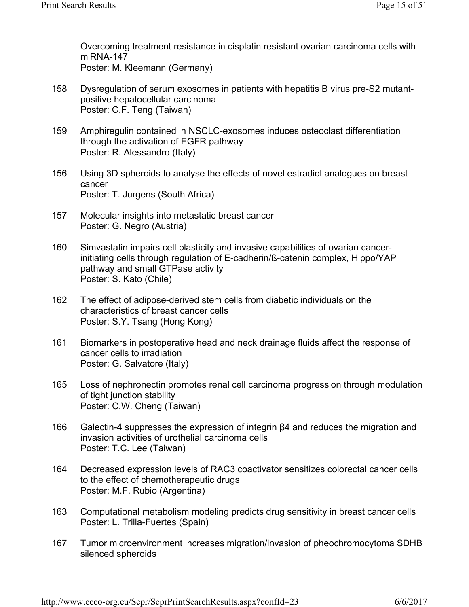Overcoming treatment resistance in cisplatin resistant ovarian carcinoma cells with miRNA-147 Poster: M. Kleemann (Germany)

- Dysregulation of serum exosomes in patients with hepatitis B virus pre-S2 mutantpositive hepatocellular carcinoma Poster: C.F. Teng (Taiwan) 158
- Amphiregulin contained in NSCLC-exosomes induces osteoclast differentiation through the activation of EGFR pathway Poster: R. Alessandro (Italy) 159
- Using 3D spheroids to analyse the effects of novel estradiol analogues on breast cancer Poster: T. Jurgens (South Africa) 156
- Molecular insights into metastatic breast cancer Poster: G. Negro (Austria) 157
- Simvastatin impairs cell plasticity and invasive capabilities of ovarian cancerinitiating cells through regulation of E-cadherin/ß-catenin complex, Hippo/YAP pathway and small GTPase activity Poster: S. Kato (Chile) 160
- The effect of adipose-derived stem cells from diabetic individuals on the characteristics of breast cancer cells Poster: S.Y. Tsang (Hong Kong) 162
- Biomarkers in postoperative head and neck drainage fluids affect the response of cancer cells to irradiation Poster: G. Salvatore (Italy) 161
- Loss of nephronectin promotes renal cell carcinoma progression through modulation of tight junction stability Poster: C.W. Cheng (Taiwan) 165
- Galectin-4 suppresses the expression of integrin β4 and reduces the migration and invasion activities of urothelial carcinoma cells Poster: T.C. Lee (Taiwan) 166
- Decreased expression levels of RAC3 coactivator sensitizes colorectal cancer cells to the effect of chemotherapeutic drugs Poster: M.F. Rubio (Argentina) 164
- Computational metabolism modeling predicts drug sensitivity in breast cancer cells Poster: L. Trilla-Fuertes (Spain) 163
- Tumor microenvironment increases migration/invasion of pheochromocytoma SDHB silenced spheroids 167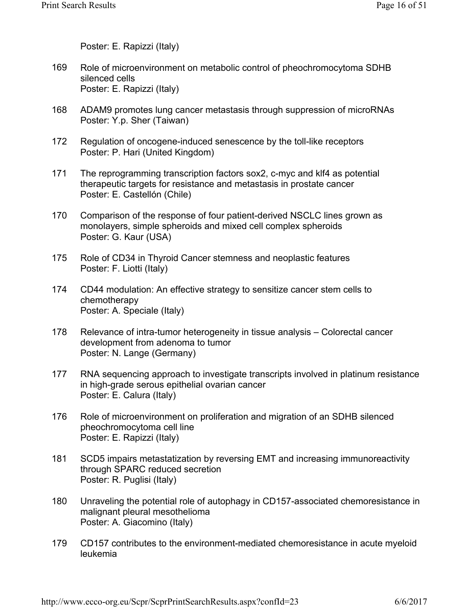Poster: E. Rapizzi (Italy)

- Role of microenvironment on metabolic control of pheochromocytoma SDHB silenced cells Poster: E. Rapizzi (Italy) 169
- ADAM9 promotes lung cancer metastasis through suppression of microRNAs Poster: Y.p. Sher (Taiwan) 168
- Regulation of oncogene-induced senescence by the toll-like receptors Poster: P. Hari (United Kingdom) 172
- The reprogramming transcription factors sox2, c-myc and klf4 as potential therapeutic targets for resistance and metastasis in prostate cancer Poster: E. Castellón (Chile) 171
- Comparison of the response of four patient-derived NSCLC lines grown as monolayers, simple spheroids and mixed cell complex spheroids Poster: G. Kaur (USA) 170
- Role of CD34 in Thyroid Cancer stemness and neoplastic features Poster: F. Liotti (Italy) 175
- CD44 modulation: An effective strategy to sensitize cancer stem cells to chemotherapy Poster: A. Speciale (Italy) 174
- Relevance of intra-tumor heterogeneity in tissue analysis Colorectal cancer development from adenoma to tumor Poster: N. Lange (Germany) 178
- RNA sequencing approach to investigate transcripts involved in platinum resistance in high-grade serous epithelial ovarian cancer Poster: E. Calura (Italy) 177
- Role of microenvironment on proliferation and migration of an SDHB silenced pheochromocytoma cell line Poster: E. Rapizzi (Italy) 176
- SCD5 impairs metastatization by reversing EMT and increasing immunoreactivity through SPARC reduced secretion Poster: R. Puglisi (Italy) 181
- Unraveling the potential role of autophagy in CD157-associated chemoresistance in malignant pleural mesothelioma Poster: A. Giacomino (Italy) 180
- CD157 contributes to the environment-mediated chemoresistance in acute myeloid leukemia 179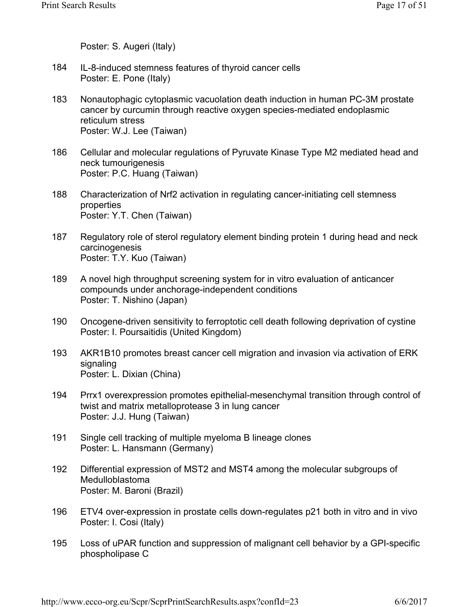Poster: S. Augeri (Italy)

- IL-8-induced stemness features of thyroid cancer cells Poster: E. Pone (Italy) 184
- Nonautophagic cytoplasmic vacuolation death induction in human PC-3M prostate cancer by curcumin through reactive oxygen species-mediated endoplasmic reticulum stress Poster: W.J. Lee (Taiwan) 183
- Cellular and molecular regulations of Pyruvate Kinase Type M2 mediated head and neck tumourigenesis Poster: P.C. Huang (Taiwan) 186
- Characterization of Nrf2 activation in regulating cancer-initiating cell stemness properties Poster: Y.T. Chen (Taiwan) 188
- Regulatory role of sterol regulatory element binding protein 1 during head and neck carcinogenesis Poster: T.Y. Kuo (Taiwan) 187
- A novel high throughput screening system for in vitro evaluation of anticancer compounds under anchorage-independent conditions Poster: T. Nishino (Japan) 189
- Oncogene-driven sensitivity to ferroptotic cell death following deprivation of cystine Poster: I. Poursaitidis (United Kingdom) 190
- AKR1B10 promotes breast cancer cell migration and invasion via activation of ERK signaling Poster: L. Dixian (China) 193
- Prrx1 overexpression promotes epithelial-mesenchymal transition through control of twist and matrix metalloprotease 3 in lung cancer Poster: J.J. Hung (Taiwan) 194
- Single cell tracking of multiple myeloma B lineage clones Poster: L. Hansmann (Germany) 191
- Differential expression of MST2 and MST4 among the molecular subgroups of Medulloblastoma Poster: M. Baroni (Brazil) 192
- ETV4 over-expression in prostate cells down-regulates p21 both in vitro and in vivo Poster: I. Cosi (Italy) 196
- Loss of uPAR function and suppression of malignant cell behavior by a GPI-specific phospholipase C 195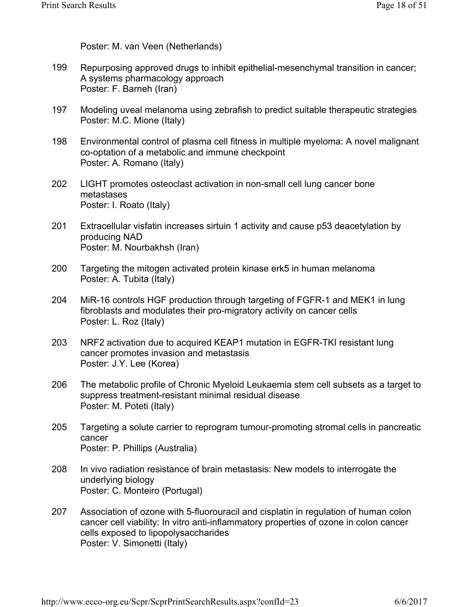Poster: M. van Veen (Netherlands)

- Repurposing approved drugs to inhibit epithelial-mesenchymal transition in cancer; A systems pharmacology approach Poster: F. Barneh (Iran) 199
- Modeling uveal melanoma using zebrafish to predict suitable therapeutic strategies Poster: M.C. Mione (Italy) 197
- Environmental control of plasma cell fitness in multiple myeloma: A novel malignant co-optation of a metabolic and immune checkpoint Poster: A. Romano (Italy) 198
- LIGHT promotes osteoclast activation in non-small cell lung cancer bone metastases Poster: I. Roato (Italy) 202
- Extracellular visfatin increases sirtuin 1 activity and cause p53 deacetylation by producing NAD Poster: M. Nourbakhsh (Iran) 201
- Targeting the mitogen activated protein kinase erk5 in human melanoma Poster: A. Tubita (Italy) 200
- MiR-16 controls HGF production through targeting of FGFR-1 and MEK1 in lung fibroblasts and modulates their pro-migratory activity on cancer cells Poster: L. Roz (Italy) 204
- NRF2 activation due to acquired KEAP1 mutation in EGFR-TKI resistant lung cancer promotes invasion and metastasis Poster: J.Y. Lee (Korea) 203
- The metabolic profile of Chronic Myeloid Leukaemia stem cell subsets as a target to suppress treatment-resistant minimal residual disease Poster: M. Poteti (Italy) 206
- Targeting a solute carrier to reprogram tumour-promoting stromal cells in pancreatic cancer Poster: P. Phillips (Australia) 205
- In vivo radiation resistance of brain metastasis: New models to interrogate the underlying biology Poster: C. Monteiro (Portugal) 208
- Association of ozone with 5-fluorouracil and cisplatin in regulation of human colon cancer cell viability: In vitro anti-inflammatory properties of ozone in colon cancer cells exposed to lipopolysaccharides Poster: V. Simonetti (Italy) 207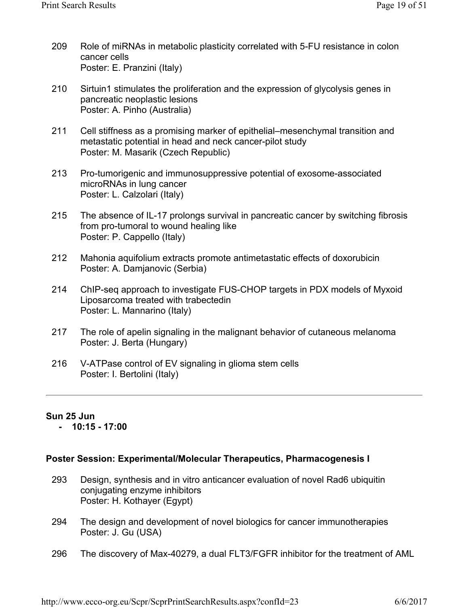- Role of miRNAs in metabolic plasticity correlated with 5-FU resistance in colon cancer cells Poster: E. Pranzini (Italy) 209
- Sirtuin1 stimulates the proliferation and the expression of glycolysis genes in pancreatic neoplastic lesions Poster: A. Pinho (Australia) 210
- Cell stiffness as a promising marker of epithelial–mesenchymal transition and metastatic potential in head and neck cancer-pilot study Poster: M. Masarik (Czech Republic) 211
- Pro-tumorigenic and immunosuppressive potential of exosome-associated microRNAs in lung cancer Poster: L. Calzolari (Italy) 213
- The absence of IL-17 prolongs survival in pancreatic cancer by switching fibrosis from pro-tumoral to wound healing like Poster: P. Cappello (Italy) 215
- Mahonia aquifolium extracts promote antimetastatic effects of doxorubicin Poster: A. Damjanovic (Serbia) 212
- ChIP-seq approach to investigate FUS-CHOP targets in PDX models of Myxoid Liposarcoma treated with trabectedin Poster: L. Mannarino (Italy) 214
- The role of apelin signaling in the malignant behavior of cutaneous melanoma Poster: J. Berta (Hungary) 217
- V-ATPase control of EV signaling in glioma stem cells Poster: I. Bertolini (Italy) 216

# **Sun 25 Jun**

 **- 10:15 - 17:00** 

### **Poster Session: Experimental/Molecular Therapeutics, Pharmacogenesis I**

- Design, synthesis and in vitro anticancer evaluation of novel Rad6 ubiquitin conjugating enzyme inhibitors Poster: H. Kothayer (Egypt) 293
- The design and development of novel biologics for cancer immunotherapies Poster: J. Gu (USA) 294
- The discovery of Max-40279, a dual FLT3/FGFR inhibitor for the treatment of AML 296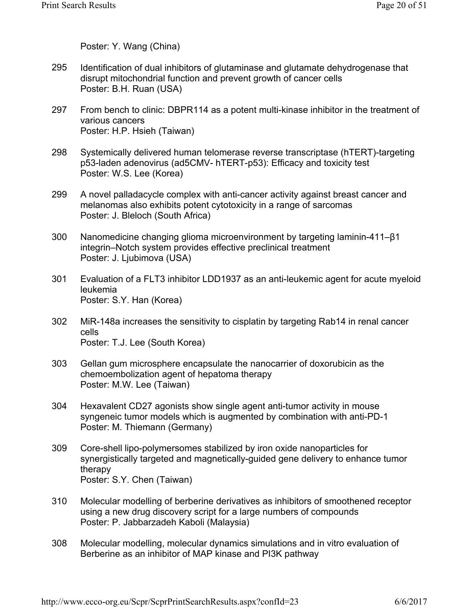Poster: Y. Wang (China)

- Identification of dual inhibitors of glutaminase and glutamate dehydrogenase that disrupt mitochondrial function and prevent growth of cancer cells Poster: B.H. Ruan (USA) 295
- From bench to clinic: DBPR114 as a potent multi-kinase inhibitor in the treatment of various cancers Poster: H.P. Hsieh (Taiwan) 297
- Systemically delivered human telomerase reverse transcriptase (hTERT)-targeting p53-laden adenovirus (ad5CMV- hTERT-p53): Efficacy and toxicity test Poster: W.S. Lee (Korea) 298
- A novel palladacycle complex with anti-cancer activity against breast cancer and melanomas also exhibits potent cytotoxicity in a range of sarcomas Poster: J. Bleloch (South Africa) 299
- Nanomedicine changing glioma microenvironment by targeting laminin-411–β1 integrin–Notch system provides effective preclinical treatment Poster: J. Ljubimova (USA) 300
- Evaluation of a FLT3 inhibitor LDD1937 as an anti-leukemic agent for acute myeloid leukemia Poster: S.Y. Han (Korea) 301
- MiR-148a increases the sensitivity to cisplatin by targeting Rab14 in renal cancer cells Poster: T.J. Lee (South Korea) 302
- Gellan gum microsphere encapsulate the nanocarrier of doxorubicin as the chemoembolization agent of hepatoma therapy Poster: M.W. Lee (Taiwan) 303
- Hexavalent CD27 agonists show single agent anti-tumor activity in mouse syngeneic tumor models which is augmented by combination with anti-PD-1 Poster: M. Thiemann (Germany) 304
- Core-shell lipo-polymersomes stabilized by iron oxide nanoparticles for synergistically targeted and magnetically-guided gene delivery to enhance tumor therapy Poster: S.Y. Chen (Taiwan) 309
- Molecular modelling of berberine derivatives as inhibitors of smoothened receptor using a new drug discovery script for a large numbers of compounds Poster: P. Jabbarzadeh Kaboli (Malaysia) 310
- Molecular modelling, molecular dynamics simulations and in vitro evaluation of Berberine as an inhibitor of MAP kinase and PI3K pathway 308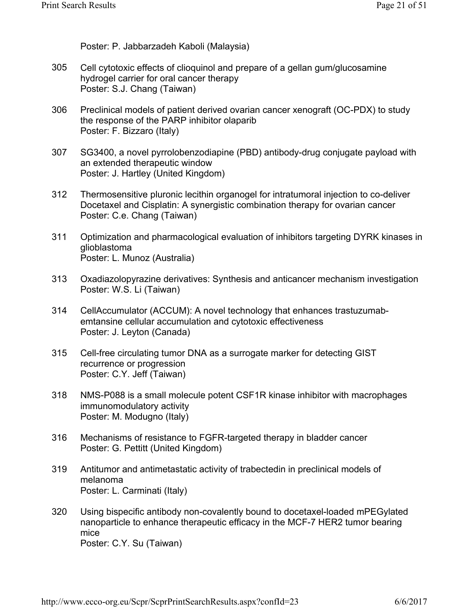Poster: P. Jabbarzadeh Kaboli (Malaysia)

- Cell cytotoxic effects of clioquinol and prepare of a gellan gum/glucosamine hydrogel carrier for oral cancer therapy Poster: S.J. Chang (Taiwan) 305
- Preclinical models of patient derived ovarian cancer xenograft (OC-PDX) to study the response of the PARP inhibitor olaparib Poster: F. Bizzaro (Italy) 306
- SG3400, a novel pyrrolobenzodiapine (PBD) antibody-drug conjugate payload with an extended therapeutic window Poster: J. Hartley (United Kingdom) 307
- Thermosensitive pluronic lecithin organogel for intratumoral injection to co-deliver Docetaxel and Cisplatin: A synergistic combination therapy for ovarian cancer Poster: C.e. Chang (Taiwan) 312
- Optimization and pharmacological evaluation of inhibitors targeting DYRK kinases in glioblastoma Poster: L. Munoz (Australia) 311
- Oxadiazolopyrazine derivatives: Synthesis and anticancer mechanism investigation Poster: W.S. Li (Taiwan) 313
- CellAccumulator (ACCUM): A novel technology that enhances trastuzumabemtansine cellular accumulation and cytotoxic effectiveness Poster: J. Leyton (Canada) 314
- Cell-free circulating tumor DNA as a surrogate marker for detecting GIST recurrence or progression Poster: C.Y. Jeff (Taiwan) 315
- NMS-P088 is a small molecule potent CSF1R kinase inhibitor with macrophages immunomodulatory activity Poster: M. Modugno (Italy) 318
- Mechanisms of resistance to FGFR-targeted therapy in bladder cancer Poster: G. Pettitt (United Kingdom) 316
- Antitumor and antimetastatic activity of trabectedin in preclinical models of melanoma Poster: L. Carminati (Italy) 319
- Using bispecific antibody non-covalently bound to docetaxel-loaded mPEGylated nanoparticle to enhance therapeutic efficacy in the MCF-7 HER2 tumor bearing mice Poster: C.Y. Su (Taiwan) 320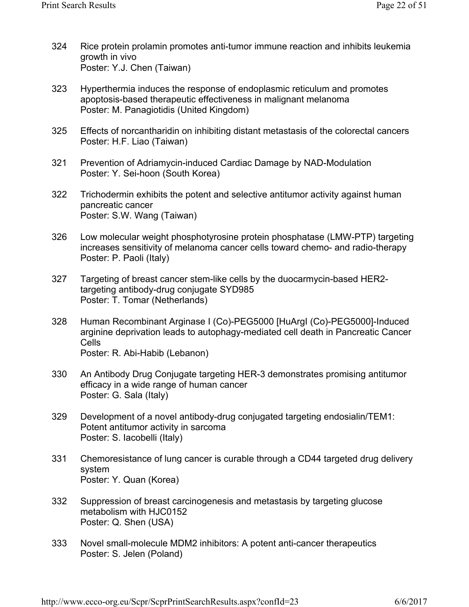- Rice protein prolamin promotes anti-tumor immune reaction and inhibits leukemia growth in vivo Poster: Y.J. Chen (Taiwan) 324
- Hyperthermia induces the response of endoplasmic reticulum and promotes apoptosis-based therapeutic effectiveness in malignant melanoma Poster: M. Panagiotidis (United Kingdom) 323
- Effects of norcantharidin on inhibiting distant metastasis of the colorectal cancers Poster: H.F. Liao (Taiwan) 325
- Prevention of Adriamycin-induced Cardiac Damage by NAD-Modulation Poster: Y. Sei-hoon (South Korea) 321
- Trichodermin exhibits the potent and selective antitumor activity against human pancreatic cancer Poster: S.W. Wang (Taiwan) 322
- Low molecular weight phosphotyrosine protein phosphatase (LMW-PTP) targeting increases sensitivity of melanoma cancer cells toward chemo- and radio-therapy Poster: P. Paoli (Italy) 326
- Targeting of breast cancer stem-like cells by the duocarmycin-based HER2 targeting antibody-drug conjugate SYD985 Poster: T. Tomar (Netherlands) 327
- Human Recombinant Arginase I (Co)-PEG5000 [HuArgI (Co)-PEG5000]-Induced arginine deprivation leads to autophagy-mediated cell death in Pancreatic Cancer Cells Poster: R. Abi-Habib (Lebanon) 328
- An Antibody Drug Conjugate targeting HER-3 demonstrates promising antitumor efficacy in a wide range of human cancer Poster: G. Sala (Italy) 330
- Development of a novel antibody-drug conjugated targeting endosialin/TEM1: Potent antitumor activity in sarcoma Poster: S. Iacobelli (Italy) 329
- Chemoresistance of lung cancer is curable through a CD44 targeted drug delivery system Poster: Y. Quan (Korea) 331
- Suppression of breast carcinogenesis and metastasis by targeting glucose metabolism with HJC0152 Poster: Q. Shen (USA) 332
- Novel small-molecule MDM2 inhibitors: A potent anti-cancer therapeutics Poster: S. Jelen (Poland) 333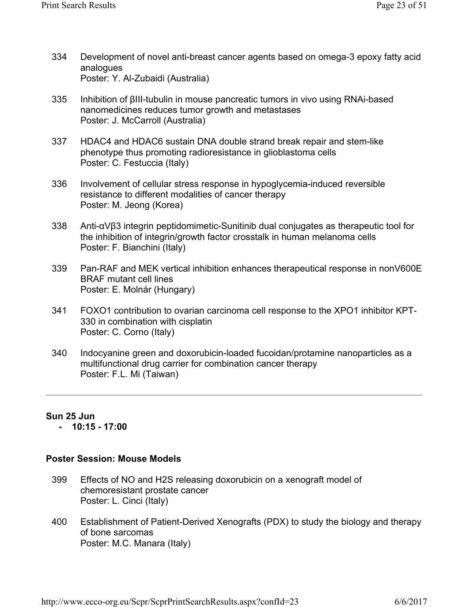- Development of novel anti-breast cancer agents based on omega-3 epoxy fatty acid analogues Poster: Y. Al-Zubaidi (Australia) 334
- Inhibition of βIII-tubulin in mouse pancreatic tumors in vivo using RNAi-based nanomedicines reduces tumor growth and metastases Poster: J. McCarroll (Australia) 335
- HDAC4 and HDAC6 sustain DNA double strand break repair and stem-like phenotype thus promoting radioresistance in glioblastoma cells Poster: C. Festuccia (Italy) 337
- Involvement of cellular stress response in hypoglycemia-induced reversible resistance to different modalities of cancer therapy Poster: M. Jeong (Korea) 336
- Anti-αVβ3 integrin peptidomimetic-Sunitinib dual conjugates as therapeutic tool for the inhibition of integrin/growth factor crosstalk in human melanoma cells Poster: F. Bianchini (Italy) 338
- Pan-RAF and MEK vertical inhibition enhances therapeutical response in nonV600E BRAF mutant cell lines Poster: E. Molnár (Hungary) 339
- FOXO1 contribution to ovarian carcinoma cell response to the XPO1 inhibitor KPT-330 in combination with cisplatin Poster: C. Corno (Italy) 341
- Indocyanine green and doxorubicin-loaded fucoidan/protamine nanoparticles as a multifunctional drug carrier for combination cancer therapy Poster: F.L. Mi (Taiwan) 340

### **Sun 25 Jun**

 **- 10:15 - 17:00** 

### **Poster Session: Mouse Models**

- Effects of NO and H2S releasing doxorubicin on a xenograft model of chemoresistant prostate cancer Poster: L. Cinci (Italy) 399
- Establishment of Patient-Derived Xenografts (PDX) to study the biology and therapy of bone sarcomas Poster: M.C. Manara (Italy) 400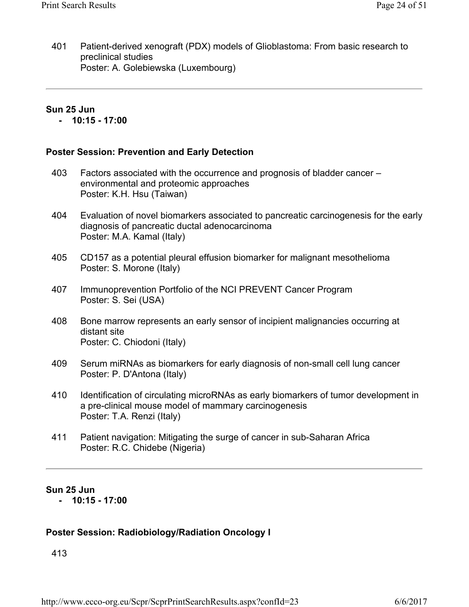Patient-derived xenograft (PDX) models of Glioblastoma: From basic research to preclinical studies Poster: A. Golebiewska (Luxembourg) 401

### **Sun 25 Jun**

 **- 10:15 - 17:00** 

### **Poster Session: Prevention and Early Detection**

- Factors associated with the occurrence and prognosis of bladder cancer environmental and proteomic approaches Poster: K.H. Hsu (Taiwan) 403
- Evaluation of novel biomarkers associated to pancreatic carcinogenesis for the early diagnosis of pancreatic ductal adenocarcinoma Poster: M.A. Kamal (Italy) 404
- CD157 as a potential pleural effusion biomarker for malignant mesothelioma Poster: S. Morone (Italy) 405
- Immunoprevention Portfolio of the NCI PREVENT Cancer Program Poster: S. Sei (USA) 407
- Bone marrow represents an early sensor of incipient malignancies occurring at distant site Poster: C. Chiodoni (Italy) 408
- Serum miRNAs as biomarkers for early diagnosis of non-small cell lung cancer Poster: P. D'Antona (Italy) 409
- Identification of circulating microRNAs as early biomarkers of tumor development in a pre-clinical mouse model of mammary carcinogenesis Poster: T.A. Renzi (Italy) 410
- Patient navigation: Mitigating the surge of cancer in sub-Saharan Africa Poster: R.C. Chidebe (Nigeria) 411

### **Sun 25 Jun**

 **- 10:15 - 17:00** 

### **Poster Session: Radiobiology/Radiation Oncology I**

413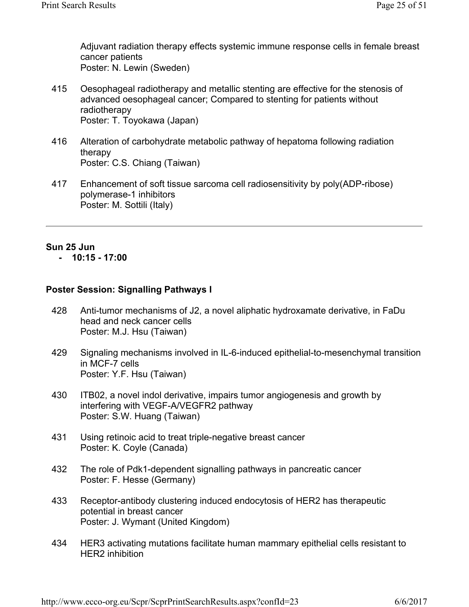Adjuvant radiation therapy effects systemic immune response cells in female breast cancer patients Poster: N. Lewin (Sweden)

- Oesophageal radiotherapy and metallic stenting are effective for the stenosis of advanced oesophageal cancer; Compared to stenting for patients without radiotherapy Poster: T. Toyokawa (Japan) 415
- Alteration of carbohydrate metabolic pathway of hepatoma following radiation therapy Poster: C.S. Chiang (Taiwan) 416
- Enhancement of soft tissue sarcoma cell radiosensitivity by poly(ADP-ribose) polymerase-1 inhibitors Poster: M. Sottili (Italy) 417

# **Sun 25 Jun**

### **- 10:15 - 17:00**

### **Poster Session: Signalling Pathways I**

- Anti-tumor mechanisms of J2, a novel aliphatic hydroxamate derivative, in FaDu head and neck cancer cells Poster: M.J. Hsu (Taiwan) 428
- Signaling mechanisms involved in IL-6-induced epithelial-to-mesenchymal transition in MCF-7 cells Poster: Y.F. Hsu (Taiwan) 429
- ITB02, a novel indol derivative, impairs tumor angiogenesis and growth by interfering with VEGF-A/VEGFR2 pathway Poster: S.W. Huang (Taiwan) 430
- Using retinoic acid to treat triple-negative breast cancer Poster: K. Coyle (Canada) 431
- The role of Pdk1-dependent signalling pathways in pancreatic cancer Poster: F. Hesse (Germany) 432
- Receptor-antibody clustering induced endocytosis of HER2 has therapeutic potential in breast cancer Poster: J. Wymant (United Kingdom) 433
- HER3 activating mutations facilitate human mammary epithelial cells resistant to HER2 inhibition 434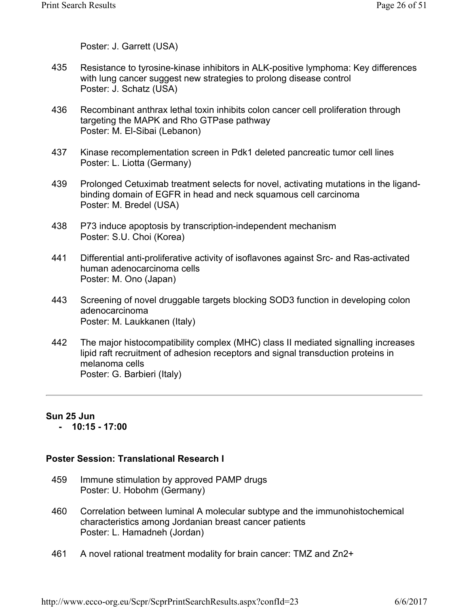Poster: J. Garrett (USA)

- Resistance to tyrosine-kinase inhibitors in ALK-positive lymphoma: Key differences with lung cancer suggest new strategies to prolong disease control Poster: J. Schatz (USA) 435
- Recombinant anthrax lethal toxin inhibits colon cancer cell proliferation through targeting the MAPK and Rho GTPase pathway Poster: M. El-Sibai (Lebanon) 436
- Kinase recomplementation screen in Pdk1 deleted pancreatic tumor cell lines Poster: L. Liotta (Germany) 437
- Prolonged Cetuximab treatment selects for novel, activating mutations in the ligandbinding domain of EGFR in head and neck squamous cell carcinoma Poster: M. Bredel (USA) 439
- P73 induce apoptosis by transcription-independent mechanism Poster: S.U. Choi (Korea) 438
- Differential anti-proliferative activity of isoflavones against Src- and Ras-activated human adenocarcinoma cells Poster: M. Ono (Japan) 441
- Screening of novel druggable targets blocking SOD3 function in developing colon adenocarcinoma Poster: M. Laukkanen (Italy) 443
- The major histocompatibility complex (MHC) class II mediated signalling increases lipid raft recruitment of adhesion receptors and signal transduction proteins in melanoma cells Poster: G. Barbieri (Italy) 442

# **Sun 25 Jun**

 **- 10:15 - 17:00** 

### **Poster Session: Translational Research I**

- Immune stimulation by approved PAMP drugs Poster: U. Hobohm (Germany) 459
- Correlation between luminal A molecular subtype and the immunohistochemical characteristics among Jordanian breast cancer patients Poster: L. Hamadneh (Jordan) 460
- A novel rational treatment modality for brain cancer: TMZ and Zn2+ 461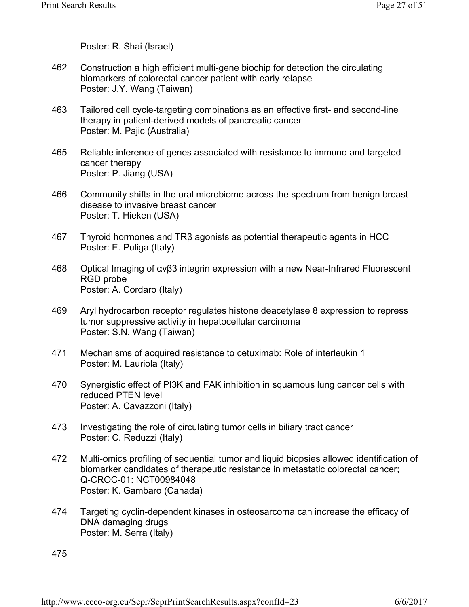Poster: R. Shai (Israel)

- Construction a high efficient multi-gene biochip for detection the circulating biomarkers of colorectal cancer patient with early relapse Poster: J.Y. Wang (Taiwan) 462
- Tailored cell cycle-targeting combinations as an effective first- and second-line therapy in patient-derived models of pancreatic cancer Poster: M. Pajic (Australia) 463
- Reliable inference of genes associated with resistance to immuno and targeted cancer therapy Poster: P. Jiang (USA) 465
- Community shifts in the oral microbiome across the spectrum from benign breast disease to invasive breast cancer Poster: T. Hieken (USA) 466
- Thyroid hormones and TRβ agonists as potential therapeutic agents in HCC Poster: E. Puliga (Italy) 467
- Optical Imaging of αvβ3 integrin expression with a new Near-Infrared Fluorescent RGD probe Poster: A. Cordaro (Italy) 468
- Aryl hydrocarbon receptor regulates histone deacetylase 8 expression to repress tumor suppressive activity in hepatocellular carcinoma Poster: S.N. Wang (Taiwan) 469
- Mechanisms of acquired resistance to cetuximab: Role of interleukin 1 Poster: M. Lauriola (Italy) 471
- Synergistic effect of PI3K and FAK inhibition in squamous lung cancer cells with reduced PTEN level Poster: A. Cavazzoni (Italy) 470
- Investigating the role of circulating tumor cells in biliary tract cancer Poster: C. Reduzzi (Italy) 473
- Multi-omics profiling of sequential tumor and liquid biopsies allowed identification of biomarker candidates of therapeutic resistance in metastatic colorectal cancer; Q-CROC-01: NCT00984048 Poster: K. Gambaro (Canada) 472
- Targeting cyclin-dependent kinases in osteosarcoma can increase the efficacy of DNA damaging drugs Poster: M. Serra (Italy) 474

475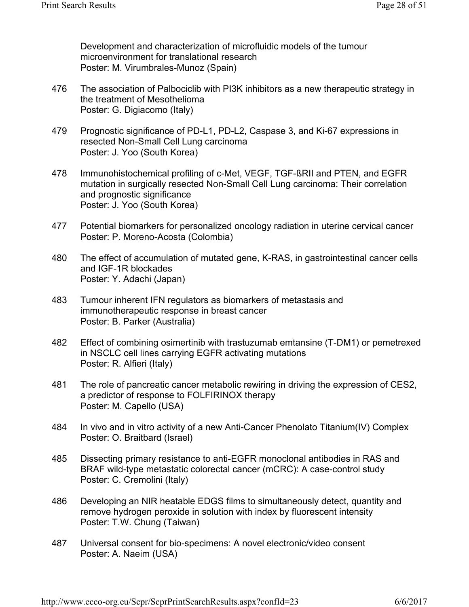Development and characterization of microfluidic models of the tumour microenvironment for translational research Poster: M. Virumbrales-Munoz (Spain)

- The association of Palbociclib with PI3K inhibitors as a new therapeutic strategy in the treatment of Mesothelioma Poster: G. Digiacomo (Italy) 476
- Prognostic significance of PD-L1, PD-L2, Caspase 3, and Ki-67 expressions in resected Non-Small Cell Lung carcinoma Poster: J. Yoo (South Korea) 479
- Immunohistochemical profiling of c-Met, VEGF, TGF-ßRII and PTEN, and EGFR mutation in surgically resected Non-Small Cell Lung carcinoma: Their correlation and prognostic significance Poster: J. Yoo (South Korea) 478
- Potential biomarkers for personalized oncology radiation in uterine cervical cancer Poster: P. Moreno-Acosta (Colombia) 477
- The effect of accumulation of mutated gene, K-RAS, in gastrointestinal cancer cells and IGF-1R blockades Poster: Y. Adachi (Japan) 480
- Tumour inherent IFN regulators as biomarkers of metastasis and immunotherapeutic response in breast cancer Poster: B. Parker (Australia) 483
- Effect of combining osimertinib with trastuzumab emtansine (T-DM1) or pemetrexed in NSCLC cell lines carrying EGFR activating mutations Poster: R. Alfieri (Italy) 482
- The role of pancreatic cancer metabolic rewiring in driving the expression of CES2, a predictor of response to FOLFIRINOX therapy Poster: M. Capello (USA) 481
- In vivo and in vitro activity of a new Anti-Cancer Phenolato Titanium(IV) Complex Poster: O. Braitbard (Israel) 484
- Dissecting primary resistance to anti-EGFR monoclonal antibodies in RAS and BRAF wild-type metastatic colorectal cancer (mCRC): A case-control study Poster: C. Cremolini (Italy) 485
- Developing an NIR heatable EDGS films to simultaneously detect, quantity and remove hydrogen peroxide in solution with index by fluorescent intensity Poster: T.W. Chung (Taiwan) 486
- Universal consent for bio-specimens: A novel electronic/video consent Poster: A. Naeim (USA) 487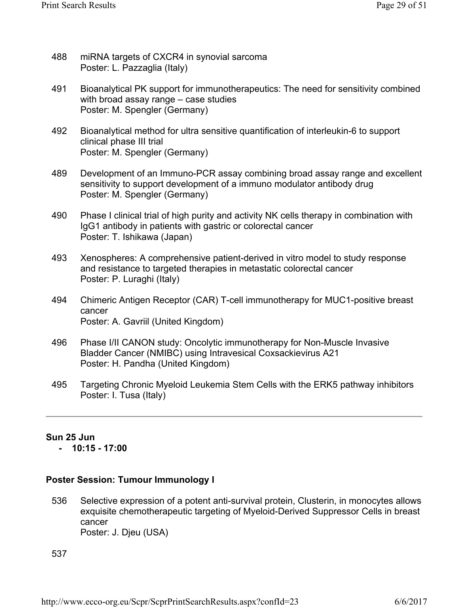- miRNA targets of CXCR4 in synovial sarcoma Poster: L. Pazzaglia (Italy) 488
- Bioanalytical PK support for immunotherapeutics: The need for sensitivity combined with broad assay range – case studies Poster: M. Spengler (Germany) 491
- Bioanalytical method for ultra sensitive quantification of interleukin-6 to support clinical phase III trial Poster: M. Spengler (Germany) 492
- Development of an Immuno-PCR assay combining broad assay range and excellent sensitivity to support development of a immuno modulator antibody drug Poster: M. Spengler (Germany) 489
- Phase I clinical trial of high purity and activity NK cells therapy in combination with IgG1 antibody in patients with gastric or colorectal cancer Poster: T. Ishikawa (Japan) 490
- Xenospheres: A comprehensive patient-derived in vitro model to study response and resistance to targeted therapies in metastatic colorectal cancer Poster: P. Luraghi (Italy) 493
- Chimeric Antigen Receptor (CAR) T-cell immunotherapy for MUC1-positive breast cancer Poster: A. Gavriil (United Kingdom) 494
- Phase I/II CANON study: Oncolytic immunotherapy for Non-Muscle Invasive Bladder Cancer (NMIBC) using Intravesical Coxsackievirus A21 Poster: H. Pandha (United Kingdom) 496
- Targeting Chronic Myeloid Leukemia Stem Cells with the ERK5 pathway inhibitors Poster: I. Tusa (Italy) 495

### **Sun 25 Jun**

 **- 10:15 - 17:00** 

### **Poster Session: Tumour Immunology I**

Selective expression of a potent anti-survival protein, Clusterin, in monocytes allows exquisite chemotherapeutic targeting of Myeloid-Derived Suppressor Cells in breast cancer Poster: J. Djeu (USA) 536

537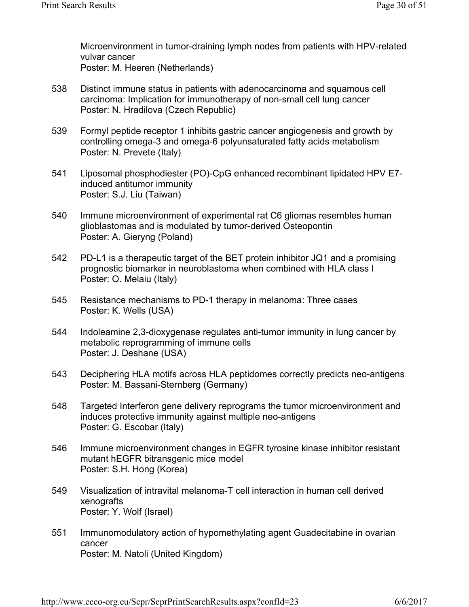Microenvironment in tumor-draining lymph nodes from patients with HPV-related vulvar cancer Poster: M. Heeren (Netherlands)

- Distinct immune status in patients with adenocarcinoma and squamous cell carcinoma: Implication for immunotherapy of non-small cell lung cancer Poster: N. Hradilova (Czech Republic) 538
- Formyl peptide receptor 1 inhibits gastric cancer angiogenesis and growth by controlling omega-3 and omega-6 polyunsaturated fatty acids metabolism Poster: N. Prevete (Italy) 539
- Liposomal phosphodiester (PO)-CpG enhanced recombinant lipidated HPV E7 induced antitumor immunity Poster: S.J. Liu (Taiwan) 541
- Immune microenvironment of experimental rat C6 gliomas resembles human glioblastomas and is modulated by tumor-derived Osteopontin Poster: A. Gieryng (Poland) 540
- PD-L1 is a therapeutic target of the BET protein inhibitor JQ1 and a promising prognostic biomarker in neuroblastoma when combined with HLA class I Poster: O. Melaiu (Italy) 542
- Resistance mechanisms to PD-1 therapy in melanoma: Three cases Poster: K. Wells (USA) 545
- Indoleamine 2,3-dioxygenase regulates anti-tumor immunity in lung cancer by metabolic reprogramming of immune cells Poster: J. Deshane (USA) 544
- Deciphering HLA motifs across HLA peptidomes correctly predicts neo-antigens Poster: M. Bassani-Sternberg (Germany) 543
- Targeted Interferon gene delivery reprograms the tumor microenvironment and induces protective immunity against multiple neo-antigens Poster: G. Escobar (Italy) 548
- Immune microenvironment changes in EGFR tyrosine kinase inhibitor resistant mutant hEGFR bitransgenic mice model Poster: S.H. Hong (Korea) 546
- Visualization of intravital melanoma-T cell interaction in human cell derived xenografts Poster: Y. Wolf (Israel) 549
- Immunomodulatory action of hypomethylating agent Guadecitabine in ovarian cancer Poster: M. Natoli (United Kingdom) 551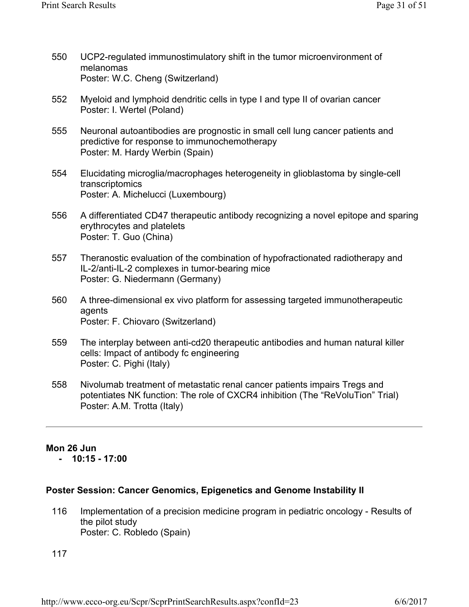- UCP2-regulated immunostimulatory shift in the tumor microenvironment of melanomas Poster: W.C. Cheng (Switzerland) 550
- Myeloid and lymphoid dendritic cells in type I and type II of ovarian cancer Poster: I. Wertel (Poland) 552
- Neuronal autoantibodies are prognostic in small cell lung cancer patients and predictive for response to immunochemotherapy Poster: M. Hardy Werbin (Spain) 555
- Elucidating microglia/macrophages heterogeneity in glioblastoma by single-cell transcriptomics Poster: A. Michelucci (Luxembourg) 554
- A differentiated CD47 therapeutic antibody recognizing a novel epitope and sparing erythrocytes and platelets Poster: T. Guo (China) 556
- Theranostic evaluation of the combination of hypofractionated radiotherapy and IL-2/anti-IL-2 complexes in tumor-bearing mice Poster: G. Niedermann (Germany) 557
- A three-dimensional ex vivo platform for assessing targeted immunotherapeutic agents Poster: F. Chiovaro (Switzerland) 560
- The interplay between anti-cd20 therapeutic antibodies and human natural killer cells: Impact of antibody fc engineering Poster: C. Pighi (Italy) 559
- Nivolumab treatment of metastatic renal cancer patients impairs Tregs and potentiates NK function: The role of CXCR4 inhibition (The "ReVoluTion" Trial) Poster: A.M. Trotta (Italy) 558

### **Mon 26 Jun - 10:15 - 17:00**

### **Poster Session: Cancer Genomics, Epigenetics and Genome Instability II**

Implementation of a precision medicine program in pediatric oncology - Results of the pilot study Poster: C. Robledo (Spain) 116

117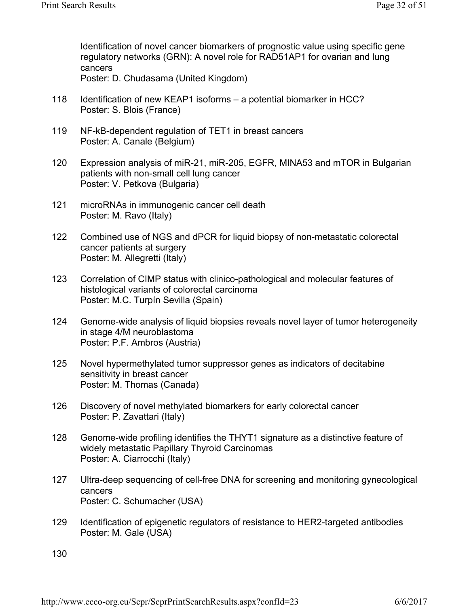Identification of novel cancer biomarkers of prognostic value using specific gene regulatory networks (GRN): A novel role for RAD51AP1 for ovarian and lung cancers Poster: D. Chudasama (United Kingdom)

- 
- Identification of new KEAP1 isoforms a potential biomarker in HCC? Poster: S. Blois (France) 118
- NF-kB-dependent regulation of TET1 in breast cancers Poster: A. Canale (Belgium) 119
- Expression analysis of miR-21, miR-205, EGFR, MINA53 and mTOR in Bulgarian patients with non-small cell lung cancer Poster: V. Petkova (Bulgaria) 120
- microRNAs in immunogenic cancer cell death Poster: M. Ravo (Italy) 121
- Combined use of NGS and dPCR for liquid biopsy of non-metastatic colorectal cancer patients at surgery Poster: M. Allegretti (Italy) 122
- Correlation of CIMP status with clinico-pathological and molecular features of histological variants of colorectal carcinoma Poster: M.C. Turpín Sevilla (Spain) 123
- Genome-wide analysis of liquid biopsies reveals novel layer of tumor heterogeneity in stage 4/M neuroblastoma Poster: P.F. Ambros (Austria) 124
- Novel hypermethylated tumor suppressor genes as indicators of decitabine sensitivity in breast cancer Poster: M. Thomas (Canada) 125
- Discovery of novel methylated biomarkers for early colorectal cancer Poster: P. Zavattari (Italy) 126
- Genome-wide profiling identifies the THYT1 signature as a distinctive feature of widely metastatic Papillary Thyroid Carcinomas Poster: A. Ciarrocchi (Italy) 128
- Ultra-deep sequencing of cell-free DNA for screening and monitoring gynecological cancers Poster: C. Schumacher (USA) 127
- Identification of epigenetic regulators of resistance to HER2-targeted antibodies Poster: M. Gale (USA) 129

130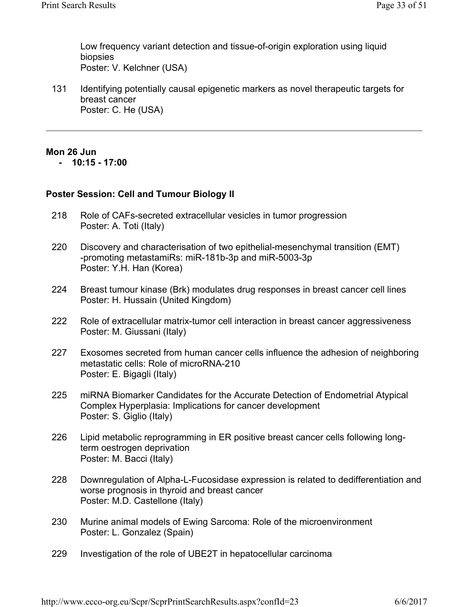Low frequency variant detection and tissue-of-origin exploration using liquid biopsies Poster: V. Kelchner (USA)

Identifying potentially causal epigenetic markers as novel therapeutic targets for breast cancer Poster: C. He (USA) 131

### **Mon 26 Jun**

 **- 10:15 - 17:00** 

### **Poster Session: Cell and Tumour Biology II**

- Role of CAFs-secreted extracellular vesicles in tumor progression Poster: A. Toti (Italy) 218
- Discovery and characterisation of two epithelial-mesenchymal transition (EMT) -promoting metastamiRs: miR-181b-3p and miR-5003-3p Poster: Y.H. Han (Korea) 220
- Breast tumour kinase (Brk) modulates drug responses in breast cancer cell lines Poster: H. Hussain (United Kingdom) 224
- Role of extracellular matrix-tumor cell interaction in breast cancer aggressiveness Poster: M. Giussani (Italy) 222
- Exosomes secreted from human cancer cells influence the adhesion of neighboring metastatic cells: Role of microRNA-210 Poster: E. Bigagli (Italy) 227
- miRNA Biomarker Candidates for the Accurate Detection of Endometrial Atypical Complex Hyperplasia: Implications for cancer development Poster: S. Giglio (Italy) 225
- Lipid metabolic reprogramming in ER positive breast cancer cells following longterm oestrogen deprivation Poster: M. Bacci (Italy) 226
- Downregulation of Alpha-L-Fucosidase expression is related to dedifferentiation and worse prognosis in thyroid and breast cancer Poster: M.D. Castellone (Italy) 228
- Murine animal models of Ewing Sarcoma: Role of the microenvironment Poster: L. Gonzalez (Spain) 230
- Investigation of the role of UBE2T in hepatocellular carcinoma 229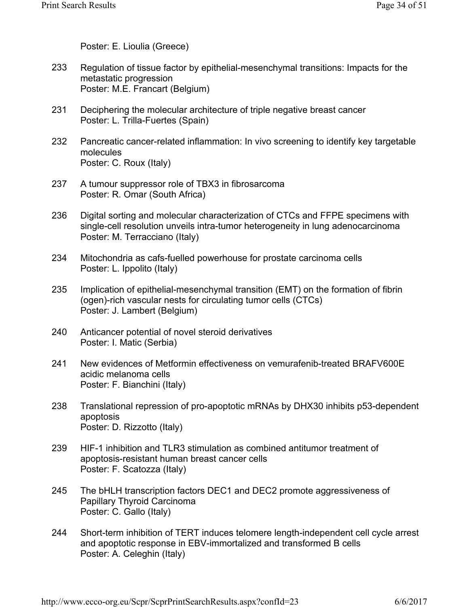Poster: E. Lioulia (Greece)

- Regulation of tissue factor by epithelial-mesenchymal transitions: Impacts for the metastatic progression Poster: M.E. Francart (Belgium) 233
- Deciphering the molecular architecture of triple negative breast cancer Poster: L. Trilla-Fuertes (Spain) 231
- Pancreatic cancer-related inflammation: In vivo screening to identify key targetable molecules Poster: C. Roux (Italy) 232
- A tumour suppressor role of TBX3 in fibrosarcoma Poster: R. Omar (South Africa) 237
- Digital sorting and molecular characterization of CTCs and FFPE specimens with single-cell resolution unveils intra-tumor heterogeneity in lung adenocarcinoma Poster: M. Terracciano (Italy) 236
- Mitochondria as cafs-fuelled powerhouse for prostate carcinoma cells Poster: L. Ippolito (Italy) 234
- Implication of epithelial-mesenchymal transition (EMT) on the formation of fibrin (ogen)-rich vascular nests for circulating tumor cells (CTCs) Poster: J. Lambert (Belgium) 235
- Anticancer potential of novel steroid derivatives Poster: I. Matic (Serbia) 240
- New evidences of Metformin effectiveness on vemurafenib-treated BRAFV600E acidic melanoma cells Poster: F. Bianchini (Italy) 241
- Translational repression of pro-apoptotic mRNAs by DHX30 inhibits p53-dependent apoptosis Poster: D. Rizzotto (Italy) 238
- HIF-1 inhibition and TLR3 stimulation as combined antitumor treatment of apoptosis-resistant human breast cancer cells Poster: F. Scatozza (Italy) 239
- The bHLH transcription factors DEC1 and DEC2 promote aggressiveness of Papillary Thyroid Carcinoma Poster: C. Gallo (Italy) 245
- Short-term inhibition of TERT induces telomere length-independent cell cycle arrest and apoptotic response in EBV-immortalized and transformed B cells Poster: A. Celeghin (Italy) 244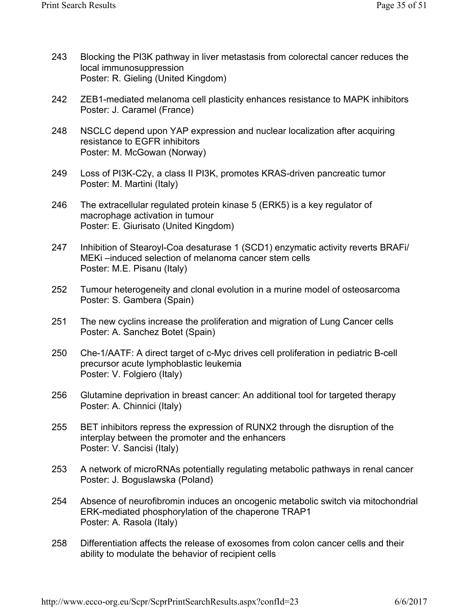- Blocking the PI3K pathway in liver metastasis from colorectal cancer reduces the local immunosuppression Poster: R. Gieling (United Kingdom) 243
- ZEB1-mediated melanoma cell plasticity enhances resistance to MAPK inhibitors Poster: J. Caramel (France) 242
- NSCLC depend upon YAP expression and nuclear localization after acquiring resistance to EGFR inhibitors Poster: M. McGowan (Norway) 248
- Loss of PI3K-C2γ, a class II PI3K, promotes KRAS-driven pancreatic tumor Poster: M. Martini (Italy) 249
- The extracellular regulated protein kinase 5 (ERK5) is a key regulator of macrophage activation in tumour Poster: E. Giurisato (United Kingdom) 246
- Inhibition of Stearoyl-Coa desaturase 1 (SCD1) enzymatic activity reverts BRAFi/ MEKi –induced selection of melanoma cancer stem cells Poster: M.E. Pisanu (Italy) 247
- Tumour heterogeneity and clonal evolution in a murine model of osteosarcoma Poster: S. Gambera (Spain) 252
- The new cyclins increase the proliferation and migration of Lung Cancer cells Poster: A. Sanchez Botet (Spain) 251
- Che-1/AATF: A direct target of c-Myc drives cell proliferation in pediatric B-cell precursor acute lymphoblastic leukemia Poster: V. Folgiero (Italy) 250
- Glutamine deprivation in breast cancer: An additional tool for targeted therapy Poster: A. Chinnici (Italy) 256
- BET inhibitors repress the expression of RUNX2 through the disruption of the interplay between the promoter and the enhancers Poster: V. Sancisi (Italy) 255
- A network of microRNAs potentially regulating metabolic pathways in renal cancer Poster: J. Boguslawska (Poland) 253
- Absence of neurofibromin induces an oncogenic metabolic switch via mitochondrial ERK-mediated phosphorylation of the chaperone TRAP1 Poster: A. Rasola (Italy) 254
- Differentiation affects the release of exosomes from colon cancer cells and their ability to modulate the behavior of recipient cells 258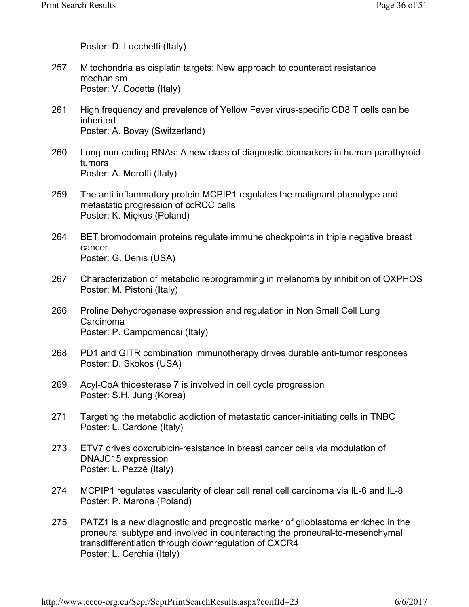Poster: D. Lucchetti (Italy)

- Mitochondria as cisplatin targets: New approach to counteract resistance mechanism Poster: V. Cocetta (Italy) 257
- High frequency and prevalence of Yellow Fever virus-specific CD8 T cells can be inherited Poster: A. Bovay (Switzerland) 261
- Long non-coding RNAs: A new class of diagnostic biomarkers in human parathyroid tumors Poster: A. Morotti (Italy) 260
- The anti-inflammatory protein MCPIP1 regulates the malignant phenotype and metastatic progression of ccRCC cells Poster: K. Miękus (Poland) 259
- BET bromodomain proteins regulate immune checkpoints in triple negative breast cancer Poster: G. Denis (USA) 264
- Characterization of metabolic reprogramming in melanoma by inhibition of OXPHOS Poster: M. Pistoni (Italy) 267
- Proline Dehydrogenase expression and regulation in Non Small Cell Lung Carcinoma Poster: P. Campomenosi (Italy) 266
- PD1 and GITR combination immunotherapy drives durable anti-tumor responses Poster: D. Skokos (USA) 268
- Acyl-CoA thioesterase 7 is involved in cell cycle progression Poster: S.H. Jung (Korea) 269
- Targeting the metabolic addiction of metastatic cancer-initiating cells in TNBC Poster: L. Cardone (Italy) 271
- ETV7 drives doxorubicin-resistance in breast cancer cells via modulation of DNAJC15 expression Poster: L. Pezzè (Italy) 273
- MCPIP1 regulates vascularity of clear cell renal cell carcinoma via IL-6 and IL-8 Poster: P. Marona (Poland) 274
- PATZ1 is a new diagnostic and prognostic marker of glioblastoma enriched in the proneural subtype and involved in counteracting the proneural-to-mesenchymal transdifferentiation through downregulation of CXCR4 Poster: L. Cerchia (Italy) 275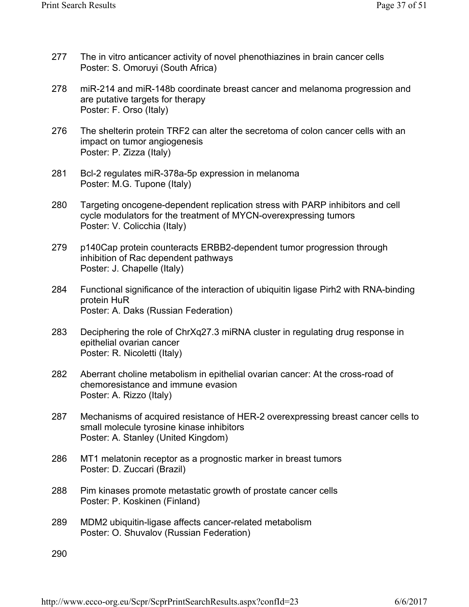- The in vitro anticancer activity of novel phenothiazines in brain cancer cells Poster: S. Omoruyi (South Africa) 277
- miR-214 and miR-148b coordinate breast cancer and melanoma progression and are putative targets for therapy Poster: F. Orso (Italy) 278
- The shelterin protein TRF2 can alter the secretoma of colon cancer cells with an impact on tumor angiogenesis Poster: P. Zizza (Italy) 276
- Bcl-2 regulates miR-378a-5p expression in melanoma Poster: M.G. Tupone (Italy) 281
- Targeting oncogene-dependent replication stress with PARP inhibitors and cell cycle modulators for the treatment of MYCN-overexpressing tumors Poster: V. Colicchia (Italy) 280
- p140Cap protein counteracts ERBB2-dependent tumor progression through inhibition of Rac dependent pathways Poster: J. Chapelle (Italy) 279
- Functional significance of the interaction of ubiquitin ligase Pirh2 with RNA-binding protein HuR Poster: A. Daks (Russian Federation) 284
- Deciphering the role of ChrXq27.3 miRNA cluster in regulating drug response in epithelial ovarian cancer Poster: R. Nicoletti (Italy) 283
- Aberrant choline metabolism in epithelial ovarian cancer: At the cross-road of chemoresistance and immune evasion Poster: A. Rizzo (Italy) 282
- Mechanisms of acquired resistance of HER-2 overexpressing breast cancer cells to small molecule tyrosine kinase inhibitors Poster: A. Stanley (United Kingdom) 287
- MT1 melatonin receptor as a prognostic marker in breast tumors Poster: D. Zuccari (Brazil) 286
- Pim kinases promote metastatic growth of prostate cancer cells Poster: P. Koskinen (Finland) 288
- MDM2 ubiquitin-ligase affects cancer-related metabolism Poster: O. Shuvalov (Russian Federation) 289

290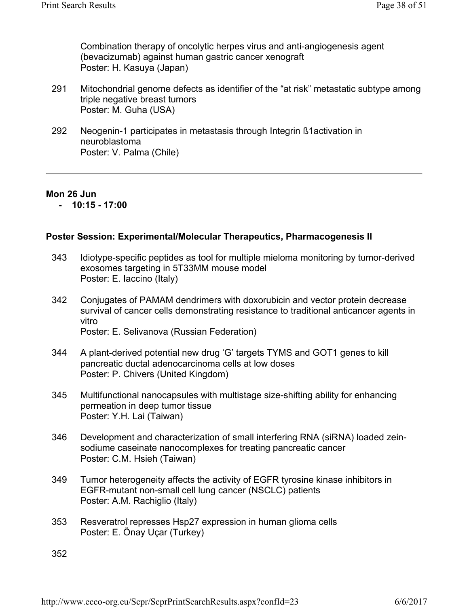Combination therapy of oncolytic herpes virus and anti-angiogenesis agent (bevacizumab) against human gastric cancer xenograft Poster: H. Kasuya (Japan)

- Mitochondrial genome defects as identifier of the "at risk" metastatic subtype among triple negative breast tumors Poster: M. Guha (USA) 291
- Neogenin-1 participates in metastasis through Integrin ß1activation in neuroblastoma Poster: V. Palma (Chile) 292

#### **Mon 26 Jun**

 **- 10:15 - 17:00** 

### **Poster Session: Experimental/Molecular Therapeutics, Pharmacogenesis II**

- Idiotype-specific peptides as tool for multiple mieloma monitoring by tumor-derived exosomes targeting in 5T33MM mouse model Poster: E. Iaccino (Italy) 343
- Conjugates of PAMAM dendrimers with doxorubicin and vector protein decrease survival of cancer cells demonstrating resistance to traditional anticancer agents in vitro Poster: E. Selivanova (Russian Federation) 342

- A plant-derived potential new drug 'G' targets TYMS and GOT1 genes to kill pancreatic ductal adenocarcinoma cells at low doses Poster: P. Chivers (United Kingdom) 344
- Multifunctional nanocapsules with multistage size-shifting ability for enhancing permeation in deep tumor tissue Poster: Y.H. Lai (Taiwan) 345
- Development and characterization of small interfering RNA (siRNA) loaded zeinsodiume caseinate nanocomplexes for treating pancreatic cancer Poster: C.M. Hsieh (Taiwan) 346
- Tumor heterogeneity affects the activity of EGFR tyrosine kinase inhibitors in EGFR-mutant non-small cell lung cancer (NSCLC) patients Poster: A.M. Rachiglio (Italy) 349
- Resveratrol represses Hsp27 expression in human glioma cells Poster: E. Önay Uçar (Turkey) 353

352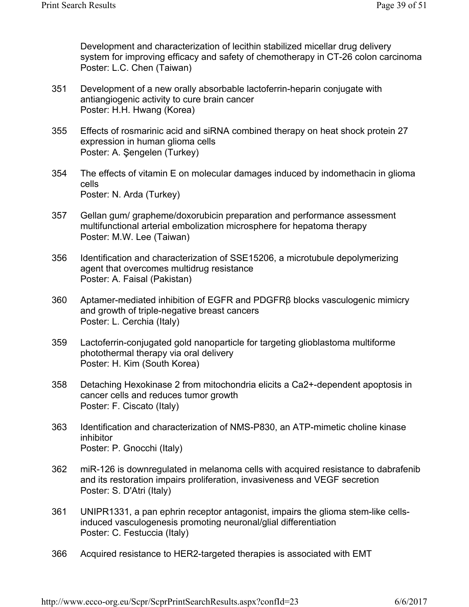Development and characterization of lecithin stabilized micellar drug delivery system for improving efficacy and safety of chemotherapy in CT-26 colon carcinoma Poster: L.C. Chen (Taiwan)

- Development of a new orally absorbable lactoferrin-heparin conjugate with antiangiogenic activity to cure brain cancer Poster: H.H. Hwang (Korea) 351
- Effects of rosmarinic acid and siRNA combined therapy on heat shock protein 27 expression in human glioma cells Poster: A. Şengelen (Turkey) 355
- The effects of vitamin E on molecular damages induced by indomethacin in glioma cells Poster: N. Arda (Turkey) 354
- Gellan gum/ grapheme/doxorubicin preparation and performance assessment multifunctional arterial embolization microsphere for hepatoma therapy Poster: M.W. Lee (Taiwan) 357
- Identification and characterization of SSE15206, a microtubule depolymerizing agent that overcomes multidrug resistance Poster: A. Faisal (Pakistan) 356
- Aptamer-mediated inhibition of EGFR and PDGFRβ blocks vasculogenic mimicry and growth of triple-negative breast cancers Poster: L. Cerchia (Italy) 360
- Lactoferrin-conjugated gold nanoparticle for targeting glioblastoma multiforme photothermal therapy via oral delivery Poster: H. Kim (South Korea) 359
- Detaching Hexokinase 2 from mitochondria elicits a Ca2+-dependent apoptosis in cancer cells and reduces tumor growth Poster: F. Ciscato (Italy) 358
- Identification and characterization of NMS-P830, an ATP-mimetic choline kinase inhibitor Poster: P. Gnocchi (Italy) 363
- miR-126 is downregulated in melanoma cells with acquired resistance to dabrafenib and its restoration impairs proliferation, invasiveness and VEGF secretion Poster: S. D'Atri (Italy) 362
- UNIPR1331, a pan ephrin receptor antagonist, impairs the glioma stem-like cellsinduced vasculogenesis promoting neuronal/glial differentiation Poster: C. Festuccia (Italy) 361
- Acquired resistance to HER2-targeted therapies is associated with EMT 366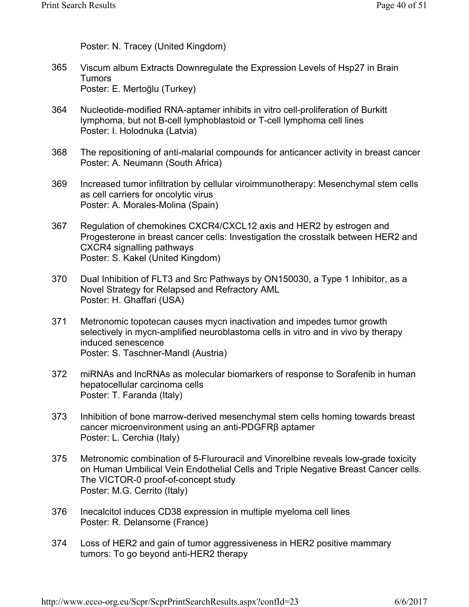Poster: N. Tracey (United Kingdom)

- Viscum album Extracts Downregulate the Expression Levels of Hsp27 in Brain Tumors Poster: E. Mertoğlu (Turkey) 365
- Nucleotide-modified RNA-aptamer inhibits in vitro cell-proliferation of Burkitt lymphoma, but not B-cell lymphoblastoid or T-cell lymphoma cell lines Poster: I. Holodnuka (Latvia) 364
- The repositioning of anti-malarial compounds for anticancer activity in breast cancer Poster: A. Neumann (South Africa) 368
- Increased tumor infiltration by cellular viroimmunotherapy: Mesenchymal stem cells as cell carriers for oncolytic virus Poster: A. Morales-Molina (Spain) 369
- Regulation of chemokines CXCR4/CXCL12 axis and HER2 by estrogen and Progesterone in breast cancer cells: Investigation the crosstalk between HER2 and CXCR4 signalling pathways Poster: S. Kakel (United Kingdom) 367
- Dual Inhibition of FLT3 and Src Pathways by ON150030, a Type 1 Inhibitor, as a Novel Strategy for Relapsed and Refractory AML Poster: H. Ghaffari (USA) 370
- Metronomic topotecan causes mycn inactivation and impedes tumor growth selectively in mycn-amplified neuroblastoma cells in vitro and in vivo by therapy induced senescence Poster: S. Taschner-Mandl (Austria) 371
- miRNAs and lncRNAs as molecular biomarkers of response to Sorafenib in human hepatocellular carcinoma cells Poster: T. Faranda (Italy) 372
- Inhibition of bone marrow-derived mesenchymal stem cells homing towards breast cancer microenvironment using an anti-PDGFRβ aptamer Poster: L. Cerchia (Italy) 373
- Metronomic combination of 5-Flurouracil and Vinorelbine reveals low-grade toxicity on Human Umbilical Vein Endothelial Cells and Triple Negative Breast Cancer cells. The VICTOR-0 proof-of-concept study Poster: M.G. Cerrito (Italy) 375
- Inecalcitol induces CD38 expression in multiple myeloma cell lines Poster: R. Delansorne (France) 376
- Loss of HER2 and gain of tumor aggressiveness in HER2 positive mammary tumors: To go beyond anti-HER2 therapy 374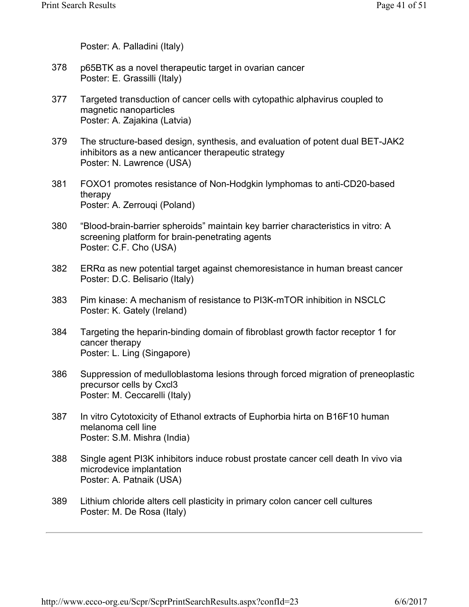Poster: A. Palladini (Italy)

- p65BTK as a novel therapeutic target in ovarian cancer Poster: E. Grassilli (Italy) 378
- Targeted transduction of cancer cells with cytopathic alphavirus coupled to magnetic nanoparticles Poster: A. Zajakina (Latvia) 377
- The structure-based design, synthesis, and evaluation of potent dual BET-JAK2 inhibitors as a new anticancer therapeutic strategy Poster: N. Lawrence (USA) 379
- FOXO1 promotes resistance of Non-Hodgkin lymphomas to anti-CD20-based therapy Poster: A. Zerrouqi (Poland) 381
- "Blood-brain-barrier spheroids" maintain key barrier characteristics in vitro: A screening platform for brain-penetrating agents Poster: C.F. Cho (USA) 380
- ERRα as new potential target against chemoresistance in human breast cancer Poster: D.C. Belisario (Italy) 382
- Pim kinase: A mechanism of resistance to PI3K-mTOR inhibition in NSCLC Poster: K. Gately (Ireland) 383
- Targeting the heparin-binding domain of fibroblast growth factor receptor 1 for cancer therapy Poster: L. Ling (Singapore) 384
- Suppression of medulloblastoma lesions through forced migration of preneoplastic precursor cells by Cxcl3 Poster: M. Ceccarelli (Italy) 386
- In vitro Cytotoxicity of Ethanol extracts of Euphorbia hirta on B16F10 human melanoma cell line Poster: S.M. Mishra (India) 387
- Single agent PI3K inhibitors induce robust prostate cancer cell death In vivo via microdevice implantation Poster: A. Patnaik (USA) 388
- Lithium chloride alters cell plasticity in primary colon cancer cell cultures Poster: M. De Rosa (Italy) 389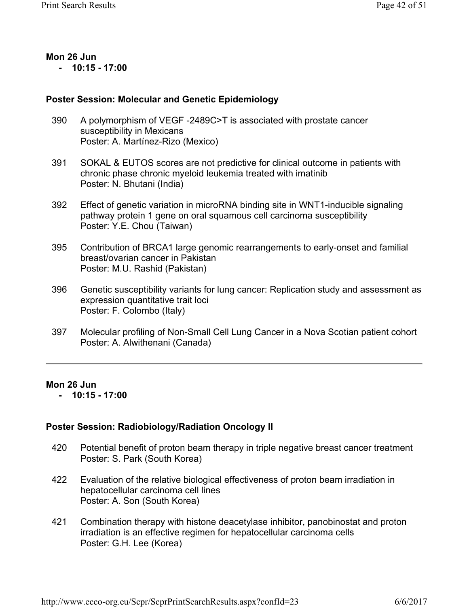#### **Mon 26 Jun - 10:15 - 17:00**

### **Poster Session: Molecular and Genetic Epidemiology**

- A polymorphism of VEGF -2489C>T is associated with prostate cancer susceptibility in Mexicans Poster: A. Martínez-Rizo (Mexico) 390
- SOKAL & EUTOS scores are not predictive for clinical outcome in patients with chronic phase chronic myeloid leukemia treated with imatinib Poster: N. Bhutani (India) 391
- Effect of genetic variation in microRNA binding site in WNT1-inducible signaling pathway protein 1 gene on oral squamous cell carcinoma susceptibility Poster: Y.E. Chou (Taiwan) 392
- Contribution of BRCA1 large genomic rearrangements to early-onset and familial breast/ovarian cancer in Pakistan Poster: M.U. Rashid (Pakistan) 395
- Genetic susceptibility variants for lung cancer: Replication study and assessment as expression quantitative trait loci Poster: F. Colombo (Italy) 396
- Molecular profiling of Non-Small Cell Lung Cancer in a Nova Scotian patient cohort Poster: A. Alwithenani (Canada) 397

### **Mon 26 Jun**

 **- 10:15 - 17:00** 

### **Poster Session: Radiobiology/Radiation Oncology II**

- Potential benefit of proton beam therapy in triple negative breast cancer treatment Poster: S. Park (South Korea) 420
- Evaluation of the relative biological effectiveness of proton beam irradiation in hepatocellular carcinoma cell lines Poster: A. Son (South Korea) 422
- Combination therapy with histone deacetylase inhibitor, panobinostat and proton irradiation is an effective regimen for hepatocellular carcinoma cells Poster: G.H. Lee (Korea) 421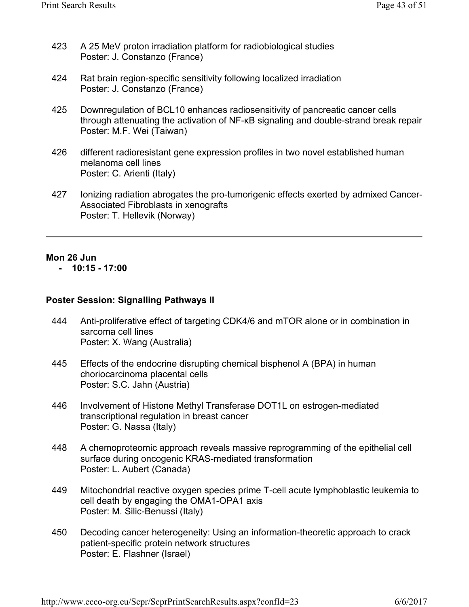- A 25 MeV proton irradiation platform for radiobiological studies Poster: J. Constanzo (France) 423
- Rat brain region-specific sensitivity following localized irradiation Poster: J. Constanzo (France) 424
- Downregulation of BCL10 enhances radiosensitivity of pancreatic cancer cells through attenuating the activation of NF-κB signaling and double-strand break repair Poster: M.F. Wei (Taiwan) 425
- different radioresistant gene expression profiles in two novel established human melanoma cell lines Poster: C. Arienti (Italy) 426
- Ionizing radiation abrogates the pro-tumorigenic effects exerted by admixed Cancer-Associated Fibroblasts in xenografts Poster: T. Hellevik (Norway) 427

### **Mon 26 Jun**

 **- 10:15 - 17:00** 

### **Poster Session: Signalling Pathways II**

- Anti-proliferative effect of targeting CDK4/6 and mTOR alone or in combination in sarcoma cell lines Poster: X. Wang (Australia) 444
- Effects of the endocrine disrupting chemical bisphenol A (BPA) in human choriocarcinoma placental cells Poster: S.C. Jahn (Austria) 445
- Involvement of Histone Methyl Transferase DOT1L on estrogen-mediated transcriptional regulation in breast cancer Poster: G. Nassa (Italy) 446
- A chemoproteomic approach reveals massive reprogramming of the epithelial cell surface during oncogenic KRAS-mediated transformation Poster: L. Aubert (Canada) 448
- Mitochondrial reactive oxygen species prime T-cell acute lymphoblastic leukemia to cell death by engaging the OMA1-OPA1 axis Poster: M. Silic-Benussi (Italy) 449
- Decoding cancer heterogeneity: Using an information-theoretic approach to crack patient-specific protein network structures Poster: E. Flashner (Israel) 450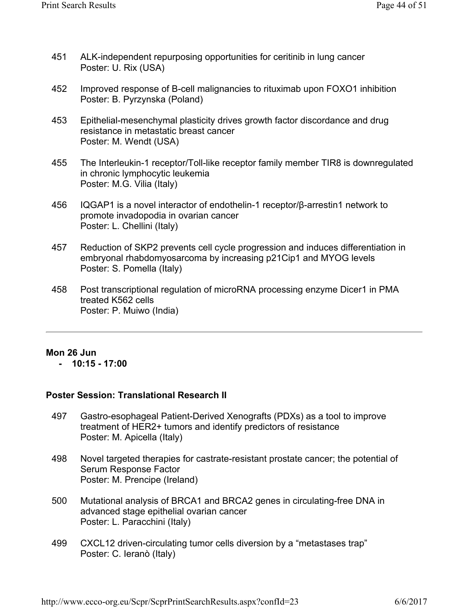- ALK-independent repurposing opportunities for ceritinib in lung cancer Poster: U. Rix (USA) 451
- Improved response of B-cell malignancies to rituximab upon FOXO1 inhibition Poster: B. Pyrzynska (Poland) 452
- Epithelial-mesenchymal plasticity drives growth factor discordance and drug resistance in metastatic breast cancer Poster: M. Wendt (USA) 453
- The Interleukin-1 receptor/Toll-like receptor family member TIR8 is downregulated in chronic lymphocytic leukemia Poster: M.G. Vilia (Italy) 455
- IQGAP1 is a novel interactor of endothelin-1 receptor/β-arrestin1 network to promote invadopodia in ovarian cancer Poster: L. Chellini (Italy) 456
- Reduction of SKP2 prevents cell cycle progression and induces differentiation in embryonal rhabdomyosarcoma by increasing p21Cip1 and MYOG levels Poster: S. Pomella (Italy) 457
- Post transcriptional regulation of microRNA processing enzyme Dicer1 in PMA treated K562 cells Poster: P. Muiwo (India) 458

### **Mon 26 Jun**

 **- 10:15 - 17:00** 

### **Poster Session: Translational Research II**

- Gastro-esophageal Patient-Derived Xenografts (PDXs) as a tool to improve treatment of HER2+ tumors and identify predictors of resistance Poster: M. Apicella (Italy) 497
- Novel targeted therapies for castrate-resistant prostate cancer; the potential of Serum Response Factor Poster: M. Prencipe (Ireland) 498
- Mutational analysis of BRCA1 and BRCA2 genes in circulating-free DNA in advanced stage epithelial ovarian cancer Poster: L. Paracchini (Italy) 500
- CXCL12 driven-circulating tumor cells diversion by a "metastases trap" Poster: C. Ieranò (Italy) 499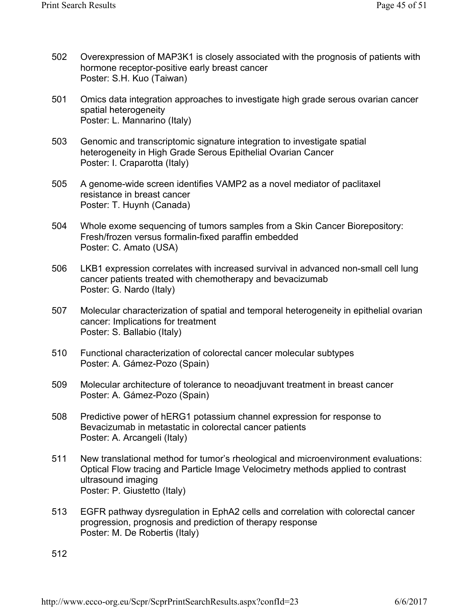- Overexpression of MAP3K1 is closely associated with the prognosis of patients with hormone receptor-positive early breast cancer Poster: S.H. Kuo (Taiwan) 502
- Omics data integration approaches to investigate high grade serous ovarian cancer spatial heterogeneity Poster: L. Mannarino (Italy) 501
- Genomic and transcriptomic signature integration to investigate spatial heterogeneity in High Grade Serous Epithelial Ovarian Cancer Poster: I. Craparotta (Italy) 503
- A genome-wide screen identifies VAMP2 as a novel mediator of paclitaxel resistance in breast cancer Poster: T. Huynh (Canada) 505
- Whole exome sequencing of tumors samples from a Skin Cancer Biorepository: Fresh/frozen versus formalin-fixed paraffin embedded Poster: C. Amato (USA) 504
- LKB1 expression correlates with increased survival in advanced non-small cell lung cancer patients treated with chemotherapy and bevacizumab Poster: G. Nardo (Italy) 506
- Molecular characterization of spatial and temporal heterogeneity in epithelial ovarian cancer: Implications for treatment Poster: S. Ballabio (Italy) 507
- Functional characterization of colorectal cancer molecular subtypes Poster: A. Gámez-Pozo (Spain) 510
- Molecular architecture of tolerance to neoadjuvant treatment in breast cancer Poster: A. Gámez-Pozo (Spain) 509
- Predictive power of hERG1 potassium channel expression for response to Bevacizumab in metastatic in colorectal cancer patients Poster: A. Arcangeli (Italy) 508
- New translational method for tumor's rheological and microenvironment evaluations: Optical Flow tracing and Particle Image Velocimetry methods applied to contrast ultrasound imaging Poster: P. Giustetto (Italy) 511
- EGFR pathway dysregulation in EphA2 cells and correlation with colorectal cancer progression, prognosis and prediction of therapy response Poster: M. De Robertis (Italy) 513

512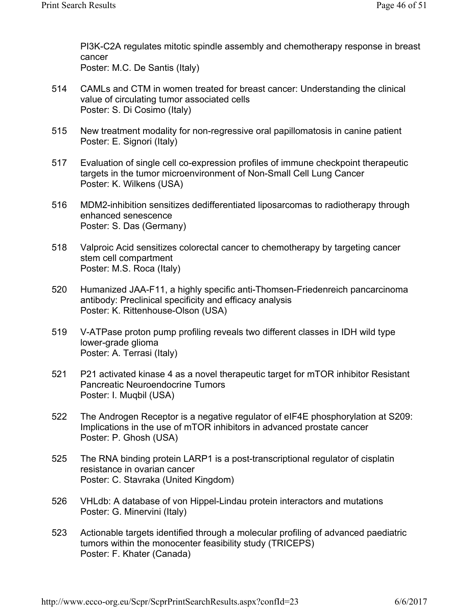PI3K-C2A regulates mitotic spindle assembly and chemotherapy response in breast cancer Poster: M.C. De Santis (Italy)

CAMLs and CTM in women treated for breast cancer: Understanding the clinical value of circulating tumor associated cells Poster: S. Di Cosimo (Italy) 514

- New treatment modality for non-regressive oral papillomatosis in canine patient Poster: E. Signori (Italy) 515
- Evaluation of single cell co-expression profiles of immune checkpoint therapeutic targets in the tumor microenvironment of Non-Small Cell Lung Cancer Poster: K. Wilkens (USA) 517
- MDM2-inhibition sensitizes dedifferentiated liposarcomas to radiotherapy through enhanced senescence Poster: S. Das (Germany) 516
- Valproic Acid sensitizes colorectal cancer to chemotherapy by targeting cancer stem cell compartment Poster: M.S. Roca (Italy) 518
- Humanized JAA-F11, a highly specific anti-Thomsen-Friedenreich pancarcinoma antibody: Preclinical specificity and efficacy analysis Poster: K. Rittenhouse-Olson (USA) 520
- V-ATPase proton pump profiling reveals two different classes in IDH wild type lower-grade glioma Poster: A. Terrasi (Italy) 519
- P21 activated kinase 4 as a novel therapeutic target for mTOR inhibitor Resistant Pancreatic Neuroendocrine Tumors Poster: I. Muqbil (USA) 521
- The Androgen Receptor is a negative regulator of eIF4E phosphorylation at S209: Implications in the use of mTOR inhibitors in advanced prostate cancer Poster: P. Ghosh (USA) 522
- The RNA binding protein LARP1 is a post-transcriptional regulator of cisplatin resistance in ovarian cancer Poster: C. Stavraka (United Kingdom) 525
- VHLdb: A database of von Hippel-Lindau protein interactors and mutations Poster: G. Minervini (Italy) 526
- Actionable targets identified through a molecular profiling of advanced paediatric tumors within the monocenter feasibility study (TRICEPS) Poster: F. Khater (Canada) 523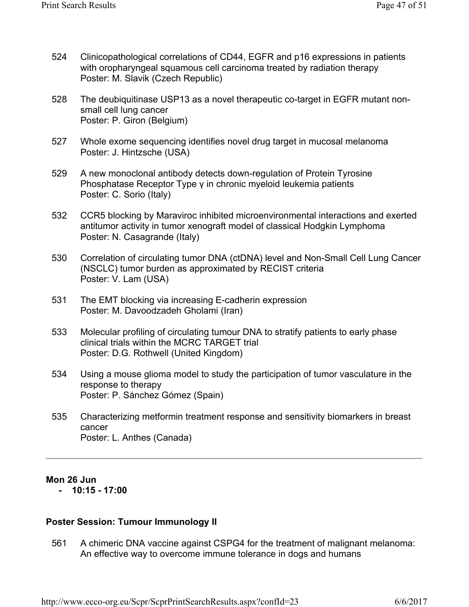- Clinicopathological correlations of CD44, EGFR and p16 expressions in patients with oropharyngeal squamous cell carcinoma treated by radiation therapy Poster: M. Slavik (Czech Republic) 524
- The deubiquitinase USP13 as a novel therapeutic co-target in EGFR mutant nonsmall cell lung cancer Poster: P. Giron (Belgium) 528
- Whole exome sequencing identifies novel drug target in mucosal melanoma Poster: J. Hintzsche (USA) 527
- A new monoclonal antibody detects down-regulation of Protein Tyrosine Phosphatase Receptor Type γ in chronic myeloid leukemia patients Poster: C. Sorio (Italy) 529
- CCR5 blocking by Maraviroc inhibited microenvironmental interactions and exerted antitumor activity in tumor xenograft model of classical Hodgkin Lymphoma Poster: N. Casagrande (Italy) 532
- Correlation of circulating tumor DNA (ctDNA) level and Non-Small Cell Lung Cancer (NSCLC) tumor burden as approximated by RECIST criteria Poster: V. Lam (USA) 530
- The EMT blocking via increasing E-cadherin expression Poster: M. Davoodzadeh Gholami (Iran) 531
- Molecular profiling of circulating tumour DNA to stratify patients to early phase clinical trials within the MCRC TARGET trial Poster: D.G. Rothwell (United Kingdom) 533
- Using a mouse glioma model to study the participation of tumor vasculature in the response to therapy Poster: P. Sánchez Gómez (Spain) 534
- Characterizing metformin treatment response and sensitivity biomarkers in breast cancer Poster: L. Anthes (Canada) 535

### **Mon 26 Jun**

 **- 10:15 - 17:00** 

### **Poster Session: Tumour Immunology II**

A chimeric DNA vaccine against CSPG4 for the treatment of malignant melanoma: An effective way to overcome immune tolerance in dogs and humans 561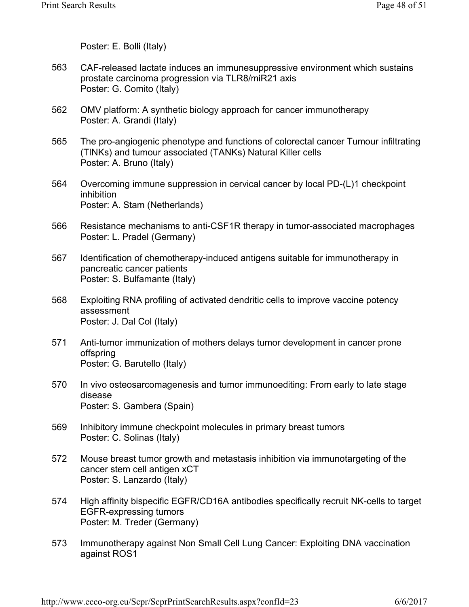Poster: E. Bolli (Italy)

- CAF-released lactate induces an immunesuppressive environment which sustains prostate carcinoma progression via TLR8/miR21 axis Poster: G. Comito (Italy) 563
- OMV platform: A synthetic biology approach for cancer immunotherapy Poster: A. Grandi (Italy) 562
- The pro-angiogenic phenotype and functions of colorectal cancer Tumour infiltrating (TINKs) and tumour associated (TANKs) Natural Killer cells Poster: A. Bruno (Italy) 565
- Overcoming immune suppression in cervical cancer by local PD-(L)1 checkpoint inhibition Poster: A. Stam (Netherlands) 564
- Resistance mechanisms to anti-CSF1R therapy in tumor-associated macrophages Poster: L. Pradel (Germany) 566
- Identification of chemotherapy-induced antigens suitable for immunotherapy in pancreatic cancer patients Poster: S. Bulfamante (Italy) 567
- Exploiting RNA profiling of activated dendritic cells to improve vaccine potency assessment Poster: J. Dal Col (Italy) 568
- Anti-tumor immunization of mothers delays tumor development in cancer prone offspring Poster: G. Barutello (Italy) 571
- In vivo osteosarcomagenesis and tumor immunoediting: From early to late stage disease Poster: S. Gambera (Spain) 570
- Inhibitory immune checkpoint molecules in primary breast tumors Poster: C. Solinas (Italy) 569
- Mouse breast tumor growth and metastasis inhibition via immunotargeting of the cancer stem cell antigen xCT Poster: S. Lanzardo (Italy) 572
- High affinity bispecific EGFR/CD16A antibodies specifically recruit NK-cells to target EGFR-expressing tumors Poster: M. Treder (Germany) 574
- Immunotherapy against Non Small Cell Lung Cancer: Exploiting DNA vaccination against ROS1 573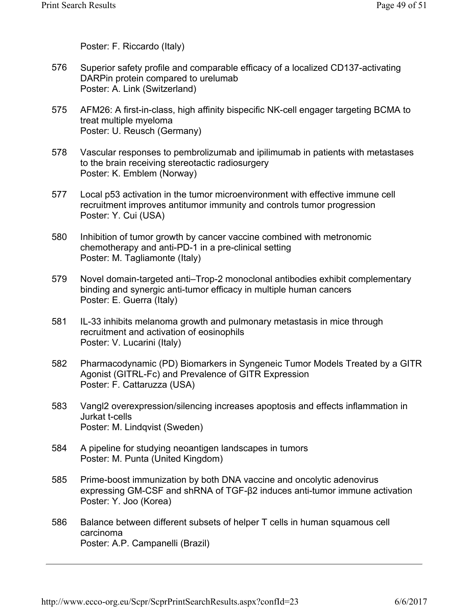Poster: F. Riccardo (Italy)

- Superior safety profile and comparable efficacy of a localized CD137-activating DARPin protein compared to urelumab Poster: A. Link (Switzerland) 576
- AFM26: A first-in-class, high affinity bispecific NK-cell engager targeting BCMA to treat multiple myeloma Poster: U. Reusch (Germany) 575
- Vascular responses to pembrolizumab and ipilimumab in patients with metastases to the brain receiving stereotactic radiosurgery Poster: K. Emblem (Norway) 578
- Local p53 activation in the tumor microenvironment with effective immune cell recruitment improves antitumor immunity and controls tumor progression Poster: Y. Cui (USA) 577
- Inhibition of tumor growth by cancer vaccine combined with metronomic chemotherapy and anti-PD-1 in a pre-clinical setting Poster: M. Tagliamonte (Italy) 580
- Novel domain-targeted anti–Trop-2 monoclonal antibodies exhibit complementary binding and synergic anti-tumor efficacy in multiple human cancers Poster: E. Guerra (Italy) 579
- IL-33 inhibits melanoma growth and pulmonary metastasis in mice through recruitment and activation of eosinophils Poster: V. Lucarini (Italy) 581
- Pharmacodynamic (PD) Biomarkers in Syngeneic Tumor Models Treated by a GITR Agonist (GITRL-Fc) and Prevalence of GITR Expression Poster: F. Cattaruzza (USA) 582
- Vangl2 overexpression/silencing increases apoptosis and effects inflammation in Jurkat t-cells Poster: M. Lindqvist (Sweden) 583
- A pipeline for studying neoantigen landscapes in tumors Poster: M. Punta (United Kingdom) 584
- Prime-boost immunization by both DNA vaccine and oncolytic adenovirus expressing GM-CSF and shRNA of TGF-β2 induces anti-tumor immune activation Poster: Y. Joo (Korea) 585
- Balance between different subsets of helper T cells in human squamous cell carcinoma Poster: A.P. Campanelli (Brazil) 586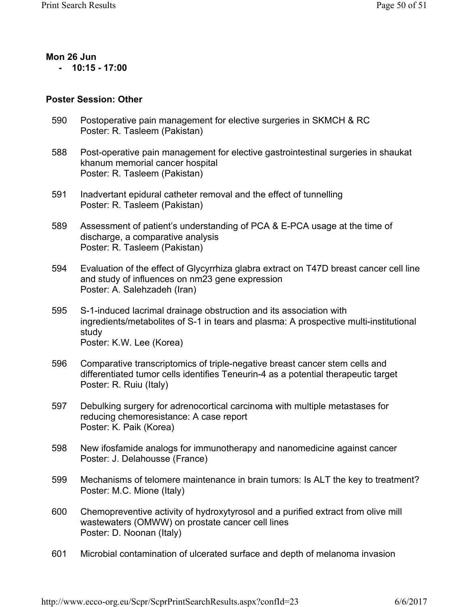#### **Mon 26 Jun - 10:15 - 17:00**

### **Poster Session: Other**

- Postoperative pain management for elective surgeries in SKMCH & RC Poster: R. Tasleem (Pakistan) 590
- Post-operative pain management for elective gastrointestinal surgeries in shaukat khanum memorial cancer hospital Poster: R. Tasleem (Pakistan) 588
- Inadvertant epidural catheter removal and the effect of tunnelling Poster: R. Tasleem (Pakistan) 591
- Assessment of patient's understanding of PCA & E-PCA usage at the time of discharge, a comparative analysis Poster: R. Tasleem (Pakistan) 589
- Evaluation of the effect of Glycyrrhiza glabra extract on T47D breast cancer cell line and study of influences on nm23 gene expression Poster: A. Salehzadeh (Iran) 594
- S-1-induced lacrimal drainage obstruction and its association with ingredients/metabolites of S-1 in tears and plasma: A prospective multi-institutional study Poster: K.W. Lee (Korea) 595
- Comparative transcriptomics of triple-negative breast cancer stem cells and differentiated tumor cells identifies Teneurin-4 as a potential therapeutic target Poster: R. Ruiu (Italy) 596
- Debulking surgery for adrenocortical carcinoma with multiple metastases for reducing chemoresistance: A case report Poster: K. Paik (Korea) 597
- New ifosfamide analogs for immunotherapy and nanomedicine against cancer Poster: J. Delahousse (France) 598
- Mechanisms of telomere maintenance in brain tumors: Is ALT the key to treatment? Poster: M.C. Mione (Italy) 599
- Chemopreventive activity of hydroxytyrosol and a purified extract from olive mill wastewaters (OMWW) on prostate cancer cell lines Poster: D. Noonan (Italy) 600
- Microbial contamination of ulcerated surface and depth of melanoma invasion 601